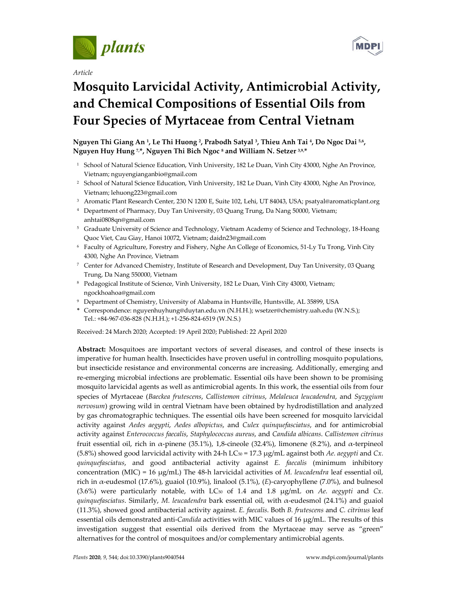

*Article*



# **Mosquito Larvicidal Activity, Antimicrobial Activity, and Chemical Compositions of Essential Oils from Four Species of Myrtaceae from Central Vietnam**

**Nguyen Thi Giang An 1, Le Thi Huong 2, Prabodh Satyal 3, Thieu Anh Tai 4, Do Ngoc Dai 5,6, Nguyen Huy Hung 7,\*, Nguyen Thi Bich Ngoc 8 and William N. Setzer 3,9,\***

- <sup>1</sup> School of Natural Science Education, Vinh University, 182 Le Duan, Vinh City 43000, Nghe An Province, Vietnam; nguyengianganbio@gmail.com
- <sup>2</sup> School of Natural Science Education, Vinh University, 182 Le Duan, Vinh City 43000, Nghe An Province, Vietnam; lehuong223@gmail.com
- <sup>3</sup> Aromatic Plant Research Center, 230 N 1200 E, Suite 102, Lehi, UT 84043, USA; psatyal@aromaticplant.org
- <sup>4</sup> Department of Pharmacy, Duy Tan University, 03 Quang Trung, Da Nang 50000, Vietnam; anhtai0808qn@gmail.com
- <sup>5</sup> Graduate University of Science and Technology, Vietnam Academy of Science and Technology, 18-Hoang Quoc Viet, Cau Giay, Hanoi 10072, Vietnam; daidn23@gmail.com
- <sup>6</sup> Faculty of Agriculture, Forestry and Fishery, Nghe An College of Economics, 51-Ly Tu Trong, Vinh City 4300, Nghe An Province, Vietnam
- <sup>7</sup> Center for Advanced Chemistry, Institute of Research and Development, Duy Tan University, 03 Quang Trung, Da Nang 550000, Vietnam
- <sup>8</sup> Pedagogical Institute of Science, Vinh University, 182 Le Duan, Vinh City 43000, Vietnam; ngockhoahoa@gmail.com
- <sup>9</sup> Department of Chemistry, University of Alabama in Huntsville, Huntsville, AL 35899, USA
- **\*** Correspondence: nguyenhuyhung@duytan.edu.vn (N.H.H.); wsetzer@chemistry.uah.edu (W.N.S.); Tel.: +84-967-036-828 (N.H.H.); +1-256-824-6519 (W.N.S.)

Received: 24 March 2020; Accepted: 19 April 2020; Published: 22 April 2020

**Abstract:** Mosquitoes are important vectors of several diseases, and control of these insects is imperative for human health. Insecticides have proven useful in controlling mosquito populations, but insecticide resistance and environmental concerns are increasing. Additionally, emerging and re-emerging microbial infections are problematic. Essential oils have been shown to be promising mosquito larvicidal agents as well as antimicrobial agents. In this work, the essential oils from four species of Myrtaceae (*Baeckea frutescens*, *Callistemon citrinus*, *Melaleuca leucadendra*, and *Syzygium nervosum*) growing wild in central Vietnam have been obtained by hydrodistillation and analyzed by gas chromatographic techniques. The essential oils have been screened for mosquito larvicidal activity against *Aedes aegypti*, *Aedes albopictus*, and *Culex quinquefasciatus*, and for antimicrobial activity against *Enterococcus faecalis*, *Staphylococcus aureus*, and *Candida albicans*. *Callistemon citrinus* fruit essential oil, rich in α-pinene (35.1%), 1,8-cineole (32.4%), limonene (8.2%), and α-terpineol (5.8%) showed good larvicidal activity with 24-h LC $_{50}$  = 17.3  $\mu$ g/mL against both *Ae. aegypti* and *Cx*. *quinquefasciatus*, and good antibacterial activity against *E. faecalis* (minimum inhibitory concentration (MIC) = 16 μg/mL) The 48-h larvicidal activities of *M. leucadendra* leaf essential oil, rich in α-eudesmol (17.6%), guaiol (10.9%), linalool (5.1%), (*E*)-caryophyllene (7.0%), and bulnesol (3.6%) were particularly notable, with LC $50$  of 1.4 and 1.8  $\mu$ g/mL on *Ae. aegypti* and *Cx*. *quinquefasciatus*. Similarly, *M. leucadendra* bark essential oil, with α-eudesmol (24.1%) and guaiol (11.3%), showed good antibacterial activity against. *E. faecalis*. Both *B. frutescens* and *C. citrinus* leaf essential oils demonstrated anti-*Candida* activities with MIC values of 16 μg/mL. The results of this investigation suggest that essential oils derived from the Myrtaceae may serve as "green" alternatives for the control of mosquitoes and/or complementary antimicrobial agents.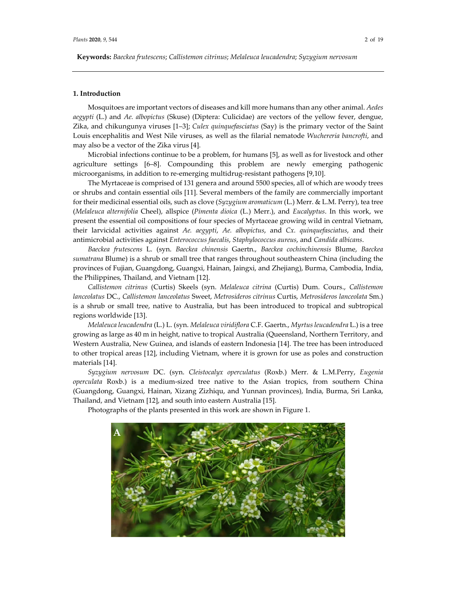**Keywords:** *Baeckea frutescens*; *Callistemon citrinus*; *Melaleuca leucadendra*; *Syzygium nervosum*

## **1. Introduction**

Mosquitoes are important vectors of diseases and kill more humans than any other animal. *Aedes aegypti* (L.) and *Ae. albopictus* (Skuse) (Diptera: Culicidae) are vectors of the yellow fever, dengue, Zika, and chikungunya viruses [1–3]; *Culex quinquefasciatus* (Say) is the primary vector of the Saint Louis encephalitis and West Nile viruses, as well as the filarial nematode *Wuchereria bancrofti*, and may also be a vector of the Zika virus [4].

Microbial infections continue to be a problem, for humans [5], as well as for livestock and other agriculture settings [6–8]. Compounding this problem are newly emerging pathogenic microorganisms, in addition to re-emerging multidrug-resistant pathogens [9,10].

The Myrtaceae is comprised of 131 genera and around 5500 species, all of which are woody trees or shrubs and contain essential oils [11]. Several members of the family are commercially important for their medicinal essential oils, such as clove (*Syzygium aromaticum* (L.) Merr. & L.M. Perry), tea tree (*Melaleuca alternifolia* Cheel), allspice (*Pimenta dioica* (L.) Merr.), and *Eucalyptus*. In this work, we present the essential oil compositions of four species of Myrtaceae growing wild in central Vietnam, their larvicidal activities against *Ae. aegypti*, *Ae. albopictus*, and *Cx. quinquefasciatus*, and their antimicrobial activities against *Enterococcus faecalis*, *Staphylococcus aureus*, and *Candida albicans*.

*Baeckea frutescens* L. (syn. *Baeckea chinensis* Gaertn., *Baeckea cochinchinensis* Blume, *Baeckea sumatrana* Blume) is a shrub or small tree that ranges throughout southeastern China (including the provinces of Fujian, Guangdong, Guangxi, Hainan, Jaingxi, and Zhejiang), Burma, Cambodia, India, the Philippines, Thailand, and Vietnam [12].

*Callistemon citrinus* (Curtis) Skeels (syn. *Melaleuca citrina* (Curtis) Dum. Cours., *Callistemon lanceolatus* DC., *Callistemon lanceolatus* Sweet, *Metrosideros citrinus* Curtis, *Metrosideros lanceolata* Sm.) is a shrub or small tree, native to Australia, but has been introduced to tropical and subtropical regions worldwide [13].

*Melaleuca leucadendra* (L.) L. (syn. *Melaleuca viridiflora* C.F. Gaertn., *Myrtus leucadendra* L.) is a tree growing as large as 40 m in height, native to tropical Australia (Queensland, Northern Territory, and Western Australia, New Guinea, and islands of eastern Indonesia [14]. The tree has been introduced to other tropical areas [12], including Vietnam, where it is grown for use as poles and construction materials [14].

*Syzygium nervosum* DC. (syn. *Cleistocalyx operculatus* (Roxb.) Merr. & L.M.Perry, *Eugenia operculata* Roxb.) is a medium-sized tree native to the Asian tropics, from southern China (Guangdong, Guangxi, Hainan, Xizang Zizhiqu, and Yunnan provinces), India, Burma, Sri Lanka, Thailand, and Vietnam [12], and south into eastern Australia [15].

Photographs of the plants presented in this work are shown in Figure 1.

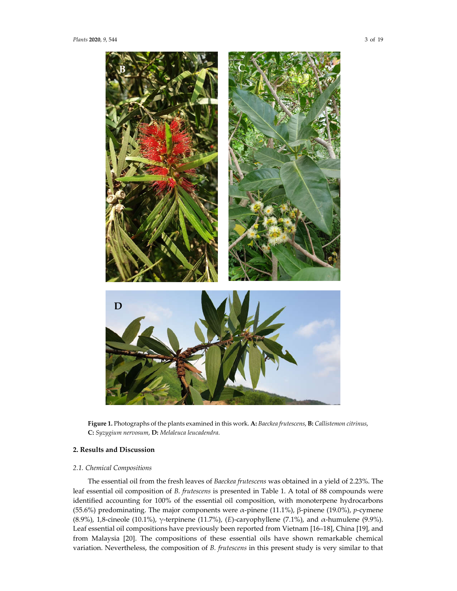

**Figure 1.** Photographs of the plants examined in this work. **A:** *Baeckea frutescens*, **B:** *Callistemon citrinus*, **C:** *Syzygium nervosum*, **D:** *Melaleuca leucadendra*.

## **2. Results and Discussion**

# *2.1. Chemical Compositions*

The essential oil from the fresh leaves of *Baeckea frutescens* was obtained in a yield of 2.23%. The leaf essential oil composition of *B. frutescens* is presented in Table 1. A total of 88 compounds were identified accounting for 100% of the essential oil composition, with monoterpene hydrocarbons (55.6%) predominating. The major components were α-pinene (11.1%), β-pinene (19.0%), *p*-cymene (8.9%), 1,8-cineole (10.1%), γ-terpinene (11.7%), (*E*)-caryophyllene (7.1%), and α-humulene (9.9%). Leaf essential oil compositions have previously been reported from Vietnam [16–18], China [19], and from Malaysia [20]. The compositions of these essential oils have shown remarkable chemical variation. Nevertheless, the composition of *B. frutescens* in this present study is very similar to that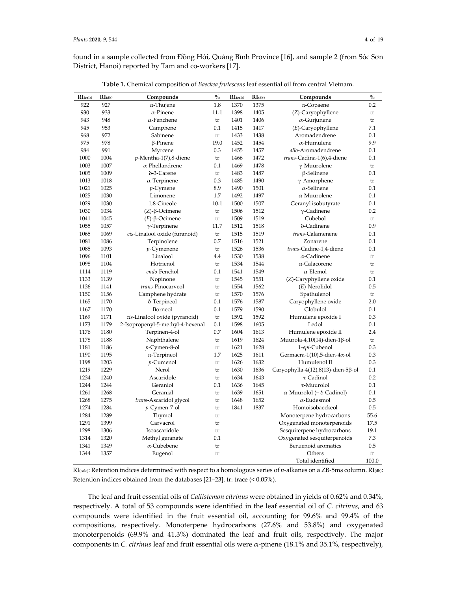found in a sample collected from Đồng Hới, Quảng Bình Province [16], and sample 2 (from Sóc Sơn District, Hanoi) reported by Tam and co-workers [17].

| RI(calc) | $RI$ (db) | Compounds                        | $\mathbf{0}_{\mathbf{0}}^{\prime}$ | RI(calc) | $RI$ (db) | Compounds                                  | $\mathbf{0}_{\mathbf{0}}^{\prime}$ |
|----------|-----------|----------------------------------|------------------------------------|----------|-----------|--------------------------------------------|------------------------------------|
| 922      | 927       | $\alpha$ -Thujene                | 1.8                                | 1370     | 1375      | $\alpha$ -Copaene                          | 0.2                                |
| 930      | 933       | $\alpha$ -Pinene                 | 11.1                               | 1398     | 1405      | (Z)-Caryophyllene                          | tr                                 |
| 943      | 948       | $\alpha$ -Fenchene               | tr                                 | 1401     | 1406      | $\alpha$ -Gurjunene                        | tr                                 |
| 945      | 953       | Camphene                         | 0.1                                | 1415     | 1417      | $(E)$ -Caryophyllene                       | 7.1                                |
| 968      | 972       | Sabinene                         | tr                                 | 1433     | 1438      | Aromadendrene                              | 0.1                                |
| 975      | 978       | $\beta$ -Pinene                  | 19.0                               | 1452     | 1454      | $\alpha$ -Humulene                         | 9.9                                |
| 984      | 991       | Myrcene                          | 0.3                                | 1455     | 1457      | allo-Aromadendrene                         | 0.1                                |
| 1000     | 1004      | $p$ -Mentha-1(7),8-diene         | tr                                 | 1466     | 1472      | trans-Cadina-1(6),4-diene                  | 0.1                                |
| 1003     | 1007      | $\alpha$ -Phellandrene           | 0.1                                | 1469     | 1478      | $\gamma$ -Muurolene                        | tr                                 |
| 1005     | 1009      | δ-3-Carene                       | tr                                 | 1483     | 1487      | $\beta$ -Selinene                          | 0.1                                |
| 1013     | 1018      | $\alpha$ -Terpinene              | 0.3                                | 1485     | 1490      | $\gamma$ -Amorphene                        | tr                                 |
| 1021     | 1025      | $p$ -Cymene                      | 8.9                                | 1490     | 1501      | $\alpha$ -Selinene                         | 0.1                                |
| 1025     | 1030      | Limonene                         | 1.7                                | 1492     | 1497      | $\alpha$ -Muurolene                        | 0.1                                |
| 1029     | 1030      | 1,8-Cineole                      | 10.1                               | 1500     | 1507      | Geranyl isobutyrate                        | 0.1                                |
| 1030     | 1034      | $(Z)$ - $\beta$ -Ocimene         | tr                                 | 1506     | 1512      | $\gamma$ -Cadinene                         | 0.2                                |
| 1041     | 1045      | $(E)$ -β-Ocimene                 | tr                                 | 1509     | 1519      | Cubebol                                    | tr                                 |
| 1055     | 1057      | $\gamma$ -Terpinene              | 11.7                               | 1512     | 1518      | δ-Cadinene                                 | 0.9                                |
| 1065     | 1069      | cis-Linalool oxide (furanoid)    | tr                                 | 1515     | 1519      | trans-Calamenene                           | 0.1                                |
| 1081     | 1086      | Terpinolene                      | 0.7                                | 1516     | 1521      | Zonarene                                   | 0.1                                |
| 1085     | 1093      | $p$ -Cymenene                    | tr                                 | 1526     | 1536      | trans-Cadine-1,4-diene                     | 0.1                                |
| 1096     | 1101      | Linalool                         | 4.4                                | 1530     | 1538      | $\alpha$ -Cadinene                         | tr                                 |
| 1098     | 1104      | Hotrienol                        | tr                                 | 1534     | 1544      | $\alpha$ -Calacorene                       | tr                                 |
| 1114     | 1119      | endo-Fenchol                     | 0.1                                | 1541     | 1549      | $\alpha$ -Elemol                           | tr                                 |
| 1133     | 1139      | Nopinone                         | tr                                 | 1545     | 1551      | (Z)-Caryphyllene oxide                     | 0.1                                |
| 1136     | 1141      | trans-Pinocarveol                | tr                                 | 1554     | 1562      | $(E)$ -Nerolidol                           | 0.5                                |
| 1150     | 1156      | Camphene hydrate                 | tr                                 | 1570     | 1576      | Spathulenol                                | tr                                 |
| 1165     | 1170      | δ-Terpineol                      | 0.1                                | 1576     | 1587      | Caryophyllene oxide                        | 2.0                                |
| 1167     | 1170      | Borneol                          | 0.1                                | 1579     | 1590      | Globulol                                   | 0.1                                |
| 1169     | 1171      | cis-Linalool oxide (pyranoid)    | tr                                 | 1592     | 1592      | Humulene epoxide I                         | 0.3                                |
| 1173     | 1179      | 2-Isopropenyl-5-methyl-4-hexenal | 0.1                                | 1598     | 1605      | Ledol                                      | 0.1                                |
| 1176     | 1180      | Terpinen-4-ol                    | 0.7                                | 1604     | 1613      | Humulene epoxide II                        | 2.4                                |
| 1178     | 1188      | Naphthalene                      | tr                                 | 1619     | 1624      | Muurola-4,10(14)-dien-1 $\beta$ -ol        | tr                                 |
| 1181     | 1186      | $p$ -Cymen-8-ol                  | tr                                 | 1621     | 1628      | 1-epi-Cubenol                              | 0.3                                |
| 1190     | 1195      | $\alpha$ -Terpineol              | 1.7                                | 1625     | 1611      | Germacra-1(10),5-dien-4 $\alpha$ -ol       | 0.3                                |
| 1198     | 1203      | $p$ -Cumenol                     | tr                                 | 1626     | 1632      | Humulenol II                               | 0.3                                |
| 1219     | 1229      | Nerol                            | tr                                 | 1630     | 1636      | Caryophylla-4(12),8(13)-dien-5 $\beta$ -ol | 0.1                                |
| 1234     | 1240      | Ascaridole                       | tr                                 | 1634     | 1643      | τ-Cadinol                                  | 0.2                                |
| 1244     | 1244      | Geraniol                         | 0.1                                | 1636     | 1645      | τ-Muurolol                                 | 0.1                                |
| 1261     | 1268      | Geranial                         | tr                                 | 1639     | 1651      | $\alpha$ -Muurolol (= $\delta$ -Cadinol)   | 0.1                                |
| 1268     | 1275      | trans-Ascaridol glycol           | tr                                 | 1648     | 1652      | $\alpha$ -Eudesmol                         | 0.5                                |
| 1274     | 1284      | $p$ -Cymen-7-ol                  | tr                                 | 1841     | 1837      | Homoisobaeckeol                            | 0.5                                |
| 1284     | 1289      | Thymol                           | tr                                 |          |           | Monoterpene hydrocarbons                   | 55.6                               |
| 1291     | 1399      | Carvacrol                        | tr                                 |          |           | Oxygenated monoterpenoids                  | 17.5                               |
| 1298     | 1306      | Isoascaridole                    | tr                                 |          |           | Sesquiterpene hydrocarbons                 | 19.1                               |
| 1314     | 1320      | Methyl geranate                  | 0.1                                |          |           | Oxygenated sesquiterpenoids                | 7.3                                |
| 1341     | 1349      | $\alpha$ -Cubebene               | tr                                 |          |           | Benzenoid aromatics                        | 0.5                                |
| 1344     | 1357      | Eugenol                          | tr                                 |          |           | Others                                     | tr                                 |
|          |           |                                  |                                    |          |           | Total identified                           | 100.0                              |

**Table 1.** Chemical composition of *Baeckea frutescens* leaf essential oil from central Vietnam.

RI(calc): Retention indices determined with respect to a homologous series of *n*-alkanes on a ZB-5ms column. RI(db): Retention indices obtained from the databases [21–23]. tr: trace (< 0.05%).

The leaf and fruit essential oils of *Callistemon citrinus* were obtained in yields of 0.62% and 0.34%, respectively. A total of 53 compounds were identified in the leaf essential oil of *C. citrinus*, and 63 compounds were identified in the fruit essential oil, accounting for 99.6% and 99.4% of the compositions, respectively. Monoterpene hydrocarbons (27.6% and 53.8%) and oxygenated monoterpenoids (69.9% and 41.3%) dominated the leaf and fruit oils, respectively. The major components in *C. citrinus* leaf and fruit essential oils were α-pinene (18.1% and 35.1%, respectively),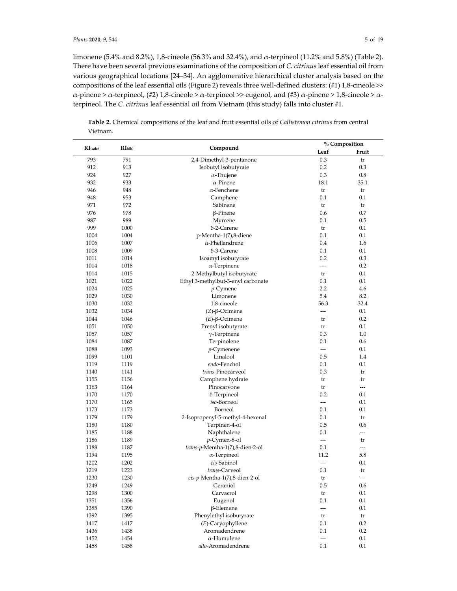limonene (5.4% and 8.2%), 1,8-cineole (56.3% and 32.4%), and α-terpineol (11.2% and 5.8%) (Table 2). There have been several previous examinations of the composition of *C. citrinus* leaf essential oil from various geographical locations [24–34]. An agglomerative hierarchical cluster analysis based on the compositions of the leaf essential oils (Figure 2) reveals three well-defined clusters: (#1) 1,8-cineole >>  $\alpha$ -pinene >  $\alpha$ -terpineol, (#2) 1,8-cineole >  $\alpha$ -terpineol >> eugenol, and (#3)  $\alpha$ -pinene > 1,8-cineole >  $\alpha$ terpineol. The *C. citrinus* leaf essential oil from Vietnam (this study) falls into cluster #1.

**Table 2.** Chemical compositions of the leaf and fruit essential oils of *Callistemon citrinus* from central Vietnam.

|             |           |                                    |                          | % Composition |
|-------------|-----------|------------------------------------|--------------------------|---------------|
| $RI$ (calc) | $RI$ (db) | Compound                           | Leaf                     | Fruit         |
| 793         | 791       | 2,4-Dimethyl-3-pentanone           | 0.3                      | tr            |
| 912         | 913       | Isobutyl isobutyrate               | 0.2                      | 0.3           |
| 924         | 927       | $\alpha$ -Thujene                  | 0.3                      | 0.8           |
| 932         | 933       | $\alpha$ -Pinene                   | 18.1                     | 35.1          |
| 946         | 948       | $\alpha$ -Fenchene                 | tr                       | tr            |
| 948         | 953       | Camphene                           | 0.1                      | 0.1           |
| 971         | 972       | Sabinene                           | tr                       | tr            |
| 976         | 978       | $\beta$ -Pinene                    | 0.6                      | 0.7           |
| 987         | 989       | Myrcene                            | 0.1                      | 0.5           |
| 999         | 1000      | δ-2-Carene                         | tr                       | 0.1           |
| 1004        | 1004      | p-Mentha-1(7),8-diene              | 0.1                      | 0.1           |
| 1006        | 1007      | $\alpha$ -Phellandrene             | 0.4                      | 1.6           |
| 1008        | 1009      | δ-3-Carene                         | 0.1                      | 0.1           |
|             |           |                                    | 0.2                      | 0.3           |
| 1011        | 1014      | Isoamyl isobutyrate                | $\overline{a}$           | 0.2           |
| 1014        | 1018      | $\alpha$ -Terpinene                |                          |               |
| 1014        | 1015      | 2-Methylbutyl isobutyrate          | tr                       | 0.1           |
| 1021        | 1022      | Ethyl 3-methylbut-3-enyl carbonate | 0.1                      | 0.1           |
| 1024        | 1025      | $p$ -Cymene                        | 2.2                      | 4.6           |
| 1029        | 1030      | Limonene                           | 5.4                      | 8.2           |
| 1030        | 1032      | 1,8-cineole                        | 56.3                     | 32.4          |
| 1032        | 1034      | $(Z)$ - $\beta$ -Ocimene           | $---$                    | 0.1           |
| 1044        | 1046      | $(E)$ -β-Ocimene                   | tr                       | 0.2           |
| 1051        | 1050      | Prenyl isobutyrate                 | tr                       | 0.1           |
| 1057        | 1057      | $\gamma$ -Terpinene                | 0.3                      | 1.0           |
| 1084        | 1087      | Terpinolene                        | 0.1                      | 0.6           |
| 1088        | 1093      | $p$ -Cymenene                      | $\overline{a}$           | 0.1           |
| 1099        | 1101      | Linalool                           | 0.5                      | 1.4           |
| 1119        | 1119      | endo-Fenchol                       | 0.1                      | 0.1           |
| 1140        | 1141      | trans-Pinocarveol                  | 0.3                      | tr            |
| 1155        | 1156      | Camphene hydrate                   | tr                       | tr            |
| 1163        | 1164      | Pinocarvone                        | tr                       | $---$         |
| 1170        | 1170      | δ-Terpineol                        | 0.2                      | 0.1           |
| 1170        | 1165      | iso-Borneol                        | $\overline{\phantom{a}}$ | 0.1           |
| 1173        | 1173      | Borneol                            | 0.1                      | 0.1           |
| 1179        | 1179      | 2-Isopropenyl-5-methyl-4-hexenal   | 0.1                      | tr            |
| 1180        | 1180      | Terpinen-4-ol                      | 0.5                      | 0.6           |
| 1185        | 1188      | Naphthalene                        | 0.1                      | $---$         |
| 1186        | 1189      | $p$ -Cymen-8-ol                    | $\overline{\phantom{a}}$ | tr            |
| 1188        | 1187      | trans-p-Mentha-1(7),8-dien-2-ol    | 0.1                      | ---           |
| 1194        | 1195      | $\alpha$ -Terpineol                | 11.2                     | 5.8           |
| 1202        | 1202      | cis-Sabinol                        | $---$                    | 0.1           |
| 1219        | 1223      | trans-Carveol                      | 0.1                      | tr            |
| 1230        | 1230      | cis-p-Mentha-1(7),8-dien-2-ol      | tr                       | $---$         |
| 1249        | 1249      | Geraniol                           | 0.5                      | 0.6           |
| 1298        | 1300      | Carvacrol                          | tr                       | 0.1           |
| 1351        | 1356      | Eugenol                            | 0.1                      | 0.1           |
| 1385        | 1390      | $\beta$ -Elemene                   | $\overline{a}$           | 0.1           |
| 1392        | 1395      | Phenylethyl isobutyrate            | tr                       | tr            |
| 1417        | 1417      | (E)-Caryophyllene                  | 0.1                      | 0.2           |
| 1436        | 1438      | Aromadendrene                      | $0.1\,$                  | $0.2\,$       |
| 1452        | 1454      | $\alpha$ -Humulene                 | $\overline{a}$           | 0.1           |
| 1458        | 1458      | allo-Aromadendrene                 | 0.1                      | 0.1           |
|             |           |                                    |                          |               |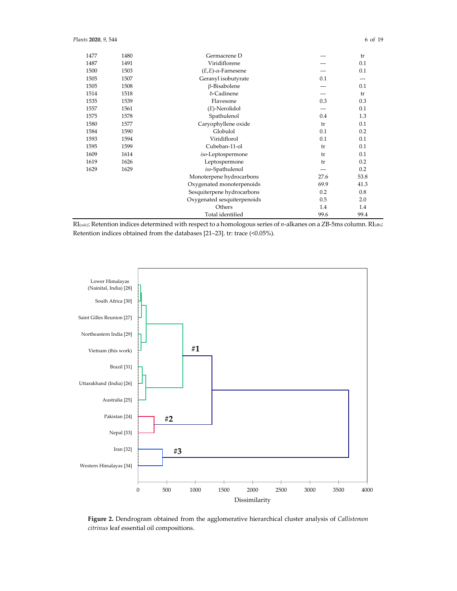| 1477 | 1480 | Germacrene D                  |       | tr    |
|------|------|-------------------------------|-------|-------|
| 1487 | 1491 | Viridiflorene                 |       | 0.1   |
| 1500 | 1503 | $(E,E)$ - $\alpha$ -Farnesene | ---   | 0.1   |
| 1505 | 1507 | Geranyl isobutyrate           | 0.1   | $---$ |
| 1505 | 1508 | β-Bisabolene                  | $---$ | 0.1   |
| 1514 | 1518 | δ-Cadinene                    | ---   | tr    |
| 1535 | 1539 | Flavesone                     | 0.3   | 0.3   |
| 1557 | 1561 | $(E)$ -Nerolidol              | $---$ | 0.1   |
| 1575 | 1578 | Spathulenol                   | 0.4   | 1.3   |
| 1580 | 1577 | Caryophyllene oxide           | tr    | 0.1   |
| 1584 | 1590 | Globulol                      | 0.1   | 0.2   |
| 1593 | 1594 | Viridiflorol                  | 0.1   | 0.1   |
| 1595 | 1599 | Cubeban-11-ol                 | tr    | 0.1   |
| 1609 | 1614 | iso-Leptospermone             | tr    | 0.1   |
| 1619 | 1626 | Leptospermone                 | tr    | 0.2   |
| 1629 | 1629 | iso-Spathulenol               | ---   | 0.2   |
|      |      | Monoterpene hydrocarbons      | 27.6  | 53.8  |
|      |      | Oxygenated monoterpenoids     | 69.9  | 41.3  |
|      |      | Sesquiterpene hydrocarbons    | 0.2   | 0.8   |
|      |      | Oxygenated sesquiterpenoids   | 0.5   | 2.0   |
|      |      | Others                        | 1.4   | 1.4   |
|      |      | Total identified              | 99.6  | 99.4  |





**Figure 2.** Dendrogram obtained from the agglomerative hierarchical cluster analysis of *Callistemon citrinus* leaf essential oil compositions.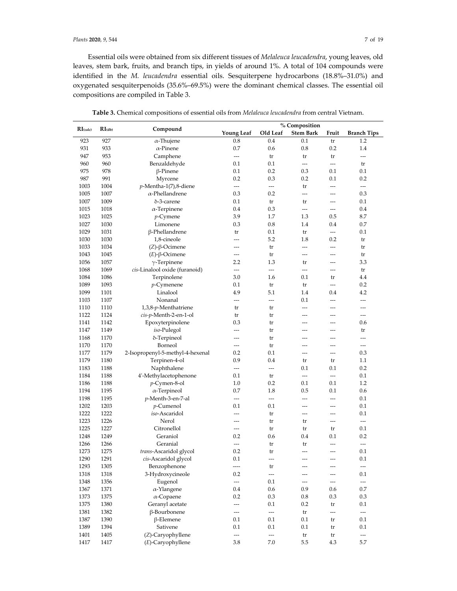Essential oils were obtained from six different tissues of *Melaleuca leucadendra*, young leaves, old leaves, stem bark, fruits, and branch tips, in yields of around 1%. A total of 104 compounds were identified in the *M. leucadendra* essential oils. Sesquiterpene hydrocarbons (18.8%–31.0%) and oxygenated sesquiterpenoids (35.6%–69.5%) were the dominant chemical classes. The essential oil compositions are compiled in Table 3.

|             |           |                                  |                          |                          | % Composition            |                          |                          |
|-------------|-----------|----------------------------------|--------------------------|--------------------------|--------------------------|--------------------------|--------------------------|
| $RI$ (calc) | $RI$ (db) | Compound                         | <b>Young Leaf</b>        | Old Leaf                 | <b>Stem Bark</b>         | Fruit                    | <b>Branch Tips</b>       |
| 923         | 927       | $\alpha$ -Thujene                | 0.8                      | 0.4                      | 0.1                      | tr                       | 1.2                      |
| 931         | 933       | $\alpha$ -Pinene                 | 0.7                      | 0.6                      | 0.8                      | 0.2                      | 1.4                      |
| 947         | 953       | Camphene                         | $---$                    | tr                       | tr                       | tr                       | $\overline{\phantom{a}}$ |
| 960         | 960       | Benzaldehyde                     | 0.1                      | 0.1                      | $\overline{\phantom{a}}$ | $\overline{a}$           | tr                       |
| 975         | 978       | β-Pinene                         | 0.1                      | 0.2                      | 0.3                      | 0.1                      | $0.1\,$                  |
| 987         | 991       |                                  | 0.2                      | 0.3                      | 0.2                      | 0.1                      | 0.2                      |
|             |           | Myrcene                          |                          |                          |                          |                          |                          |
| 1003        | 1004      | $p$ -Mentha-1(7),8-diene         | $\overline{\phantom{a}}$ | $\overline{\phantom{a}}$ | tr                       | $\overline{\phantom{a}}$ | $---$                    |
| 1005        | 1007      | $\alpha$ -Phellandrene           | 0.3                      | 0.2                      | ---                      | $---$                    | 0.3                      |
| 1007        | 1009      | δ-3-carene                       | 0.1                      | tr                       | tr                       | $\overline{a}$           | $0.1\,$                  |
| 1015        | 1018      | $\alpha$ -Terpinene              | 0.4                      | 0.3                      | $\overline{\phantom{a}}$ | $\overline{\phantom{a}}$ | 0.4                      |
| 1023        | 1025      | $p$ -Cymene                      | 3.9                      | 1.7                      | 1.3                      | 0.5                      | 8.7                      |
| 1027        | 1030      | Limonene                         | 0.3                      | 0.8                      | 1.4                      | 0.4                      | 0.7                      |
| 1029        | 1031      | β-Phellandrene                   | tr                       | 0.1                      | tr                       | $\overline{\phantom{a}}$ | $0.1\,$                  |
| 1030        | 1030      | 1,8-cineole                      | ---                      | 5.2                      | 1.8                      | 0.2                      | tr                       |
| 1033        | 1034      | $(Z)$ -β-Ocimene                 | ---                      | tr                       | $---$                    | $\overline{\phantom{0}}$ | tr                       |
| 1043        | 1045      | $(E)$ -β-Ocimene                 | ---                      | tr                       | $\overline{a}$           | $---$                    | tr                       |
| 1056        | 1057      | $\gamma$ -Terpinene              | 2.2                      | 1.3                      | tr                       | $---$                    | 3.3                      |
| 1068        | 1069      | cis-Linalool oxide (furanoid)    | $\overline{\phantom{a}}$ | $\overline{a}$           | ---                      | ---                      | tr                       |
| 1084        | 1086      | Terpinolene                      | 3.0                      | 1.6                      | 0.1                      | tr                       | 4.4                      |
| 1089        | 1093      | $p$ -Cymenene                    | 0.1                      | tr                       | tr                       |                          | 0.2                      |
| 1099        | 1101      | Linalool                         | 4.9                      | 5.1                      | 1.4                      | 0.4                      | 4.2                      |
| 1103        | 1107      | Nonanal                          | $\overline{\phantom{a}}$ | $\overline{a}$           | 0.1                      | ---                      | $---$                    |
| 1110        | 1110      | 1,3,8-p-Menthatriene             | tr                       | tr                       | $---$                    | $---$                    | $\overline{a}$           |
| 1122        | 1124      | cis-p-Menth-2-en-1-ol            | tr                       | tr                       | ---                      | $\overline{a}$           | ---                      |
| 1141        | 1142      | Epoxyterpinolene                 | 0.3                      | tr                       | $---$                    | $---$                    | 0.6                      |
| 1147        | 1149      | iso-Pulegol                      | $\overline{a}$           |                          | $---$                    | $---$                    |                          |
|             |           |                                  |                          | tr                       |                          | $\overline{a}$           | tr                       |
| 1168        | 1170      | δ-Terpineol                      | ---                      | tr                       | ---                      |                          | $---$                    |
| 1170        | 1170      | Borneol                          | $\overline{\phantom{a}}$ | tr                       | ---                      | ---                      | $\overline{\phantom{a}}$ |
| 1177        | 1179      | 2-Isopropenyl-5-methyl-4-hexenal | 0.2                      | 0.1                      | $\overline{a}$           | $---$                    | 0.3                      |
| 1179        | 1180      | Terpinen-4-ol                    | 0.9                      | 0.4                      | tr                       | tr                       | 1.1                      |
| 1183        | 1188      | Naphthalene                      | $\overline{a}$           | $\overline{a}$           | 0.1                      | 0.1                      | 0.2                      |
| 1184        | 1188      | 4'-Methylacetophenone            | 0.1                      | tr                       | $---$                    | $\overline{\phantom{a}}$ | 0.1                      |
| 1186        | 1188      | $p$ -Cymen-8-ol                  | 1.0                      | 0.2                      | 0.1                      | 0.1                      | 1.2                      |
| 1194        | 1195      | $\alpha$ -Terpineol              | 0.7                      | 1.8                      | 0.5                      | 0.1                      | 0.6                      |
| 1198        | 1195      | p-Menth-3-en-7-al                | $\overline{\phantom{a}}$ | $\overline{a}$           | $---$                    | ---                      | $0.1\,$                  |
| 1202        | 1203      | <i>p</i> -Cumenol                | 0.1                      | 0.1                      | $\overline{a}$           | $\overline{\phantom{a}}$ | 0.1                      |
| 1222        | 1222      | iso-Ascaridol                    | ---                      | tr                       | ---                      | $\overline{\phantom{a}}$ | 0.1                      |
| 1223        | 1226      | Nerol                            | ---                      | tr                       | tr                       | ---                      | $\overline{a}$           |
| 1225        | 1227      | Citronellol                      | ---                      | tr                       | tr                       | tr                       | $0.1\,$                  |
| 1248        | 1249      | Geraniol                         | 0.2                      | 0.6                      | 0.4                      | 0.1                      | 0.2                      |
| 1266        | 1266      | Geranial                         | $\overline{\phantom{a}}$ | tr                       | tr                       | ---                      | $\overline{\phantom{a}}$ |
| 1273        | 1275      | trans-Ascaridol glycol           | 0.2                      | tr                       | $\overline{a}$           | $\sim$                   | 0.1                      |
| 1290        | 1291      | cis-Ascaridol glycol             | $0.1\,$                  | ---                      | ---                      | ---                      | $0.1\,$                  |
| 1293        | 1305      | Benzophenone                     | $\overline{\phantom{a}}$ | tr                       | ---                      | $\overline{\phantom{a}}$ | $\overline{\phantom{a}}$ |
| 1318        | 1318      | 3-Hydroxycineole                 | 0.2                      | $\overline{\phantom{a}}$ |                          | ---                      | 0.1                      |
| 1348        | 1356      | Eugenol                          | $\overline{\phantom{a}}$ | 0.1                      | $---$                    | $\overline{\phantom{a}}$ | $\overline{\phantom{a}}$ |
| 1367        | 1371      | $\alpha$ -Ylangene               | 0.4                      | 0.6                      | 0.9                      | 0.6                      | 0.7                      |
| 1373        | 1375      | $\alpha$ -Copaene                | 0.2                      | 0.3                      | $0.8\,$                  | 0.3                      | 0.3                      |
|             |           | Geranyl acetate                  |                          |                          |                          |                          |                          |
| 1375        | 1380      |                                  | $---$                    | 0.1                      | 0.2                      | tr                       | 0.1                      |
| 1381        | 1382      | β-Bourbonene                     | $---$                    | ---                      | tr                       | ---                      | ---                      |
| 1387        | 1390      | $\beta$ -Elemene                 | 0.1                      | 0.1                      | 0.1                      | tr                       | 0.1                      |
| 1389        | 1394      | Sativene                         | 0.1                      | 0.1                      | 0.1                      | tr                       | $0.1\,$                  |
| 1401        | 1405      | (Z)-Caryophyllene                | ---                      | $\overline{\phantom{a}}$ | tr                       | tr                       | $\overline{\phantom{a}}$ |
| 1417        | 1417      | $(E)$ -Caryophyllene             | 3.8                      | 7.0                      | 5.5                      | 4.3                      | 5.7                      |

**Table 3.** Chemical compositions of essential oils from *Melaleuca leucadendra* from central Vietnam.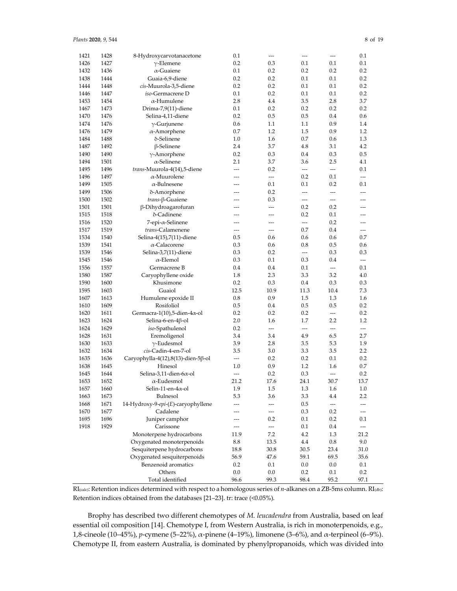| 1421 | 1428 | 8-Hydroxycarvotanacetone                         | 0.1                      | $---$                    | $---$                    | ---                      | 0.1                      |
|------|------|--------------------------------------------------|--------------------------|--------------------------|--------------------------|--------------------------|--------------------------|
| 1426 | 1427 | $\gamma$ -Elemene                                | 0.2                      | 0.3                      | 0.1                      | 0.1                      | 0.1                      |
| 1432 | 1436 | $\alpha$ -Guaiene                                | 0.1                      | 0.2                      | 0.2                      | 0.2                      | 0.2                      |
| 1438 | 1444 | Guaia-6,9-diene                                  | 0.2                      | 0.2                      | 0.1                      | 0.1                      | 0.2                      |
| 1444 | 1448 | cis-Muurola-3,5-diene                            | 0.2                      | 0.2                      | 0.1                      | 0.1                      | 0.2                      |
| 1446 | 1447 | <i>iso-Germacrene D</i>                          | 0.1                      | 0.2                      | 0.1                      | 0.1                      | 0.2                      |
| 1453 | 1454 | α-Humulene                                       | 2.8                      | 4.4                      | 3.5                      | 2.8                      | 3.7                      |
| 1467 | 1473 | Drima-7,9(11)-diene                              | 0.1                      | 0.2                      | 0.2                      | 0.2                      | 0.2                      |
| 1470 | 1476 | Selina-4,11-diene                                | 0.2                      | 0.5                      | 0.5                      | 0.4                      | 0.6                      |
| 1474 | 1476 | $\gamma$ -Gurjunene                              | 0.6                      | 1.1                      | 1.1                      | 0.9                      | 1.4                      |
| 1476 | 1479 | $\alpha$ -Amorphene                              | 0.7                      | 1.2                      | 1.5                      | 0.9                      | 1.2                      |
| 1484 | 1488 | δ-Selinene                                       | 1.0                      | 1.6                      | 0.7                      | 0.6                      | 1.3                      |
| 1487 | 1492 | β-Selinene                                       | 2.4                      | 3.7                      | 4.8                      | 3.1                      | 4.2                      |
| 1490 | 1490 | $\gamma$ -Amorphene                              | 0.2                      | 0.3                      | 0.4                      | 0.3                      | 0.5                      |
| 1494 | 1501 | $\alpha$ -Selinene                               | 2.1                      | 3.7                      | 3.6                      | 2.5                      | 4.1                      |
| 1495 | 1496 | trans-Muurola-4(14),5-diene                      | $---$                    | 0.2                      | $\overline{a}$           | $\overline{\phantom{a}}$ | 0.1                      |
| 1496 | 1497 | $\alpha$ -Muurolene                              | $\overline{a}$           | $\overline{a}$           | 0.2                      | 0.1                      | $---$                    |
| 1499 | 1505 | $\alpha$ -Bulnesene                              | ---                      | 0.1                      | 0.1                      | 0.2                      | 0.1                      |
| 1499 | 1506 | δ-Amorphene                                      | $---$                    | 0.2                      | $\overline{a}$           | $\overline{a}$           | ---                      |
| 1500 | 1502 | $trans$ - $\beta$ -Guaiene                       | ---                      | 0.3                      | $---$                    | $---$                    | $---$                    |
| 1501 | 1501 | β-Dihydroagarofuran                              | ---                      | $\overline{a}$           | 0.2                      | 0.2                      | ---                      |
| 1515 | 1518 | δ-Cadinene                                       | ---                      | ---                      | 0.2                      | 0.1                      | ---                      |
| 1516 | 1520 | 7-epi-α-Selinene                                 | ---                      | $---$                    | $---$                    | 0.2                      | $\overline{a}$           |
| 1517 | 1519 | trans-Calamenene                                 | $---$                    | $---$                    | 0.7                      | 0.4                      | $---$                    |
| 1534 | 1540 |                                                  | 0.5                      | 0.6                      | 0.6                      | 0.6                      | 0.7                      |
| 1539 | 1541 | Selina-4(15),7(11)-diene<br>$\alpha$ -Calacorene |                          | 0.6                      | 0.8                      | 0.5                      | 0.6                      |
|      |      |                                                  | 0.3                      | 0.2                      | $\overline{a}$           |                          |                          |
| 1539 | 1546 | Selina-3,7(11)-diene<br>$\alpha$ -Elemol         | 0.3                      |                          |                          | 0.3                      | 0.3                      |
| 1545 | 1546 |                                                  | 0.3                      | 0.1                      | 0.3                      | 0.4                      | ---                      |
| 1556 | 1557 | Germacrene B                                     | 0.4                      | 0.4                      | 0.1                      | $\overline{\phantom{a}}$ | 0.1                      |
| 1580 | 1587 | Caryophyllene oxide                              | 1.8                      | 2.3                      | 3.3                      | 3.2                      | 4.0                      |
| 1590 | 1600 | Khusimone                                        | 0.2                      | 0.3                      | 0.4                      | 0.3                      | 0.3                      |
| 1595 | 1603 | Guaiol                                           | 12.5                     | 10.9                     | 11.3                     | 10.4                     | 7.3                      |
| 1607 | 1613 | Humulene epoxide II                              | 0.8                      | 0.9                      | 1.5                      | 1.3                      | 1.6                      |
| 1610 | 1609 | Rosifoliol                                       | 0.5                      | 0.4                      | 0.5                      | 0.5                      | 0.2                      |
| 1620 | 1611 | Germacra-1(10),5-dien-4 $\alpha$ -ol             | 0.2                      | 0.2                      | 0.2                      | $\overline{a}$           | 0.2                      |
| 1623 | 1624 | Selina-6-en-4β-ol                                | 2.0                      | 1.6                      | 1.7                      | 2.2                      | 1.2                      |
| 1624 | 1629 | iso-Spathulenol                                  | 0.2                      | $\overline{a}$           | $\overline{\phantom{a}}$ | $\overline{a}$           | ---                      |
| 1628 | 1631 | Eremoligenol                                     | 3.4                      | 3.4                      | 4.9                      | 6.5                      | 2.7                      |
| 1630 | 1633 | $\gamma$ -Eudesmol                               | 3.9                      | 2.8                      | 3.5                      | 5.3                      | 1.9                      |
| 1632 | 1634 | cis-Cadin-4-en-7-ol                              | 3.5                      | 3.0                      | 3.3                      | 3.5                      | 2.2                      |
| 1635 | 1636 | Caryophylla-4(12),8(13)-dien-5ß-ol               | $\overline{\phantom{a}}$ | 0.2                      | 0.2                      | 0.1                      | 0.2                      |
| 1638 | 1645 | Hinesol                                          | 1.0                      | 0.9                      | 1.2                      | 1.6                      | 0.7                      |
| 1645 | 1644 | Selina-3,11-dien-6 $\alpha$ -ol                  | ---                      | 0.2                      | 0.3                      | $\overline{\phantom{a}}$ | 0.2                      |
| 1653 | 1652 | $\alpha$ -Eudesmol                               | 21.2                     | 17.6                     | 24.1                     | 30.7                     | 13.7                     |
| 1657 | 1660 | Selin-11-en-4 $\alpha$ -ol                       | 1.9                      | 1.5                      | 1.3                      | 1.6                      | 1.0                      |
| 1663 | 1673 | <b>Bulnesol</b>                                  | 5.3                      | 3.6                      | 3.3                      | 4.4                      | $2.2\,$                  |
| 1668 | 1671 | 14-Hydroxy-9-epi-(E)-caryophyllene               |                          | $\overline{a}$           | 0.5                      | $\overline{\phantom{a}}$ |                          |
| 1670 | 1677 | Cadalene                                         | ---                      | $\overline{a}$           | 0.3                      | 0.2                      | $\overline{\phantom{a}}$ |
| 1695 | 1696 | Juniper camphor                                  |                          | 0.2                      | 0.1                      | 0.2                      | $0.1\,$                  |
| 1918 | 1929 | Carissone                                        | $---$                    | $\overline{\phantom{a}}$ | 0.1                      | $0.4\,$                  | $\cdots$                 |
|      |      | Monoterpene hydrocarbons                         | 11.9                     | 7.2                      | 4.2                      | 1.3                      | 21.2                     |
|      |      | Oxygenated monoterpenoids                        | 8.8                      | 13.5                     | 4.4                      | $0.8\,$                  | 9.0                      |
|      |      | Sesquiterpene hydrocarbons                       | 18.8                     | $30.8\,$                 | 30.5                     | 23.4                     | 31.0                     |
|      |      | Oxygenated sesquiterpenoids                      | 56.9                     | 47.6                     | 59.1                     | 69.5                     | 35.6                     |
|      |      | Benzenoid aromatics                              | 0.2                      | 0.1                      | 0.0                      | $0.0\,$                  | $0.1\,$                  |
|      |      | Others                                           | 0.0                      | $0.0\,$                  | 0.2                      | 0.1                      | 0.2                      |
|      |      | Total identified                                 | 96.6                     | 99.3                     | 98.4                     | 95.2                     | 97.1                     |

RI(calc): Retention indices determined with respect to a homologous series of *n*-alkanes on a ZB-5ms column. RI(db): Retention indices obtained from the databases [21–23]. tr: trace (<0.05%).

Brophy has described two different chemotypes of *M. leucadendra* from Australia, based on leaf essential oil composition [14]. Chemotype I, from Western Australia, is rich in monoterpenoids, e.g., 1,8-cineole (10–45%), *p*-cymene (5–22%), α-pinene (4–19%), limonene (3–6%), and α-terpineol (6–9%). Chemotype II, from eastern Australia, is dominated by phenylpropanoids, which was divided into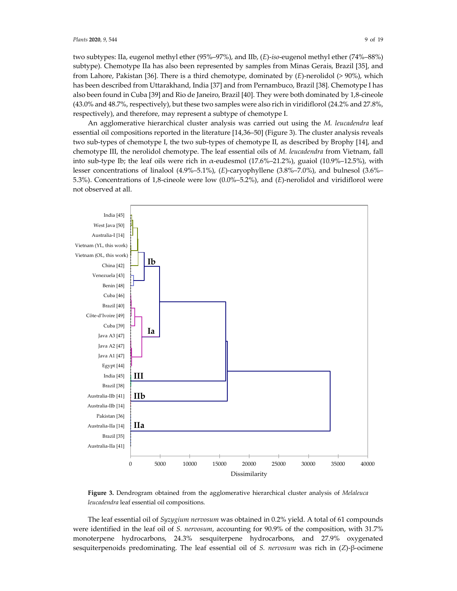two subtypes: IIa, eugenol methyl ether (95%–97%), and IIb, (*E*)-*iso*-eugenol methyl ether (74%–88%) subtype). Chemotype IIa has also been represented by samples from Minas Gerais, Brazil [35], and from Lahore, Pakistan [36]. There is a third chemotype, dominated by (*E*)-nerolidol (> 90%), which has been described from Uttarakhand, India [37] and from Pernambuco, Brazil [38]. Chemotype I has also been found in Cuba [39] and Rio de Janeiro, Brazil [40]. They were both dominated by 1,8-cineole (43.0% and 48.7%, respectively), but these two samples were also rich in viridiflorol (24.2% and 27.8%, respectively), and therefore, may represent a subtype of chemotype I.

An agglomerative hierarchical cluster analysis was carried out using the *M. leucadendra* leaf essential oil compositions reported in the literature [14,36–50] (Figure 3). The cluster analysis reveals two sub-types of chemotype I, the two sub-types of chemotype II, as described by Brophy [14], and chemotype III, the nerolidol chemotype. The leaf essential oils of *M. leucadendra* from Vietnam, fall into sub-type Ib; the leaf oils were rich in α-eudesmol (17.6%–21.2%), guaiol (10.9%–12.5%), with lesser concentrations of linalool (4.9%–5.1%), (*E*)-caryophyllene (3.8%–7.0%), and bulnesol (3.6%– 5.3%). Concentrations of 1,8-cineole were low (0.0%–5.2%), and (*E*)-nerolidol and viridiflorol were not observed at all.



**Figure 3.** Dendrogram obtained from the agglomerative hierarchical cluster analysis of *Melaleuca leucadendra* leaf essential oil compositions.

The leaf essential oil of *Syzygium nervosum* was obtained in 0.2% yield. A total of 61 compounds were identified in the leaf oil of *S. nervosum*, accounting for 90.9% of the composition, with 31.7% monoterpene hydrocarbons, 24.3% sesquiterpene hydrocarbons, and 27.9% oxygenated sesquiterpenoids predominating. The leaf essential oil of *S. nervosum* was rich in (*Z*)-β-ocimene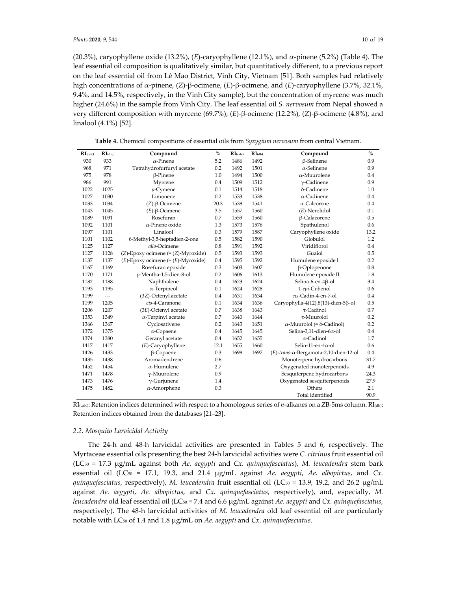(20.3%), caryophyllene oxide (13.2%), (*E*)-caryophyllene (12.1%), and α-pinene (5.2%) (Table 4). The leaf essential oil composition is qualitatively similar, but quantitatively different, to a previous report on the leaf essential oil from Lê Mao District, Vinh City, Vietnam [51]. Both samples had relatively high concentrations of α-pinene, (*Z*)-β-ocimene, (*E*)-β-ocimene, and (*E*)-caryophyllene (3.7%, 32.1%, 9.4%, and 14.5%, respectively, in the Vinh City sample), but the concentration of myrcene was much higher (24.6%) in the sample from Vinh City. The leaf essential oil *S. nervosum* from Nepal showed a very different composition with myrcene (69.7%), (*E*)-β-ocimene (12.2%), (*Z*)-β-ocimene (4.8%), and linalool (4.1%) [52].

| $RI$ (calc) | $RI_{(db)}$    | Compound                                 | $\mathbf{O}_{\mathbf{O}}^{\prime}$ | $RI$ (calc) | $RI$ (db) | Compound                                 | $\mathbf{O}_{\mathbf{O}}^{\prime}$ |
|-------------|----------------|------------------------------------------|------------------------------------|-------------|-----------|------------------------------------------|------------------------------------|
| 930         | 933            | $\alpha$ -Pinene                         | 5.2                                | 1486        | 1492      | $\beta$ -Selinene                        | 0.9                                |
| 968         | 971            | Tetrahydrofurfuryl acetate               | 0.2                                | 1492        | 1501      | $\alpha$ -Selinene                       | 0.9                                |
| 975         | 978            | $\beta$ -Pinene                          | 1.0                                | 1494        | 1500      | $\alpha$ -Muurolene                      | 0.4                                |
| 986         | 991            | Myrcene                                  | 0.4                                | 1509        | 1512      | $\gamma$ -Cadinene                       | 0.9                                |
| 1022        | 1025           | $p$ -Cymene                              | 0.1                                | 1514        | 1518      | δ-Cadinene                               | 1.0                                |
| 1027        | 1030           | Limonene                                 | 0.2                                | 1533        | 1538      | $\alpha$ -Cadinene                       | 0.4                                |
| 1033        | 1034           | $(Z)$ - $\beta$ -Ocimene                 | 20.3                               | 1538        | 1541      | $\alpha$ -Calcorene                      | 0.4                                |
| 1043        | 1045           | $(E)$ - $\beta$ -Ocimene                 | 3.5                                | 1557        | 1560      | $(E)$ -Nerolidol                         | 0.1                                |
| 1089        | 1091           | Rosefuran                                | 0.7                                | 1559        | 1560      | β-Calacorene                             | 0.5                                |
| 1092        | 1101           | $\alpha$ -Pinene oxide                   | 1.3                                | 1573        | 1576      | Spathulenol                              | 0.6                                |
| 1097        | 1101           | Linalool                                 | 0.3                                | 1579        | 1587      | Caryophyllene oxide                      | 13.2                               |
| 1101        | 1102           | 6-Methyl-3,5-heptadien-2-one             | 0.5                                | 1582        | 1590      | Globulol                                 | 1.2                                |
| 1125        | 1127           | allo-Ocimene                             | 0.8                                | 1591        | 1592      | Viridiflorol                             | 0.4                                |
| 1127        | 1128           | $(Z)$ -Epoxy ocimene (= $(Z)$ -Myroxide) | 0.5                                | 1593        | 1593      | Guaiol                                   | 0.5                                |
| 1137        | 1137           | $(E)$ -Epoxy ocimene $(=(E)$ -Myroxide)  | 0.4                                | 1595        | 1592      | Humulene epoxide I                       | 0.2                                |
| 1167        | 1169           | Rosefuran epoxide                        | 0.3                                | 1603        | 1607      | β-Oplopenone                             | 0.8                                |
| 1170        | 1171           | p-Mentha-1,5-dien-8-ol                   | 0.2                                | 1606        | 1613      | Humulene epoxide II                      | 1.8                                |
| 1182        | 1188           | Naphthalene                              | 0.4                                | 1623        | 1624      | Selina-6-en-4ß-ol                        | 3.4                                |
| 1193        | 1195           | $\alpha$ -Terpineol                      | 0.1                                | 1624        | 1628      | 1-epi-Cubenol                            | 0.6                                |
| 1199        | $\overline{a}$ | (3Z)-Octenyl acetate                     | 0.4                                | 1631        | 1634      | cis-Cadin-4-en-7-ol                      | 0.4                                |
| 1199        | 1205           | cis-4-Caranone                           | 0.1                                | 1634        | 1636      | Caryophylla-4(12),8(13)-dien-5ß-ol       | 0.5                                |
| 1206        | 1207           | (3E)-Octenyl acetate                     | 0.7                                | 1638        | 1643      | τ-Cadinol                                | 0.7                                |
| 1353        | 1349           | $\alpha$ -Terpinyl acetate               | 0.7                                | 1640        | 1644      | τ-Muurolol                               | 0.2                                |
| 1366        | 1367           | Cyclosativene                            | 0.2                                | 1643        | 1651      | $\alpha$ -Muurolol (= $\delta$ -Cadinol) | 0.2                                |
| 1372        | 1375           | $\alpha$ -Copaene                        | 0.4                                | 1645        | 1645      | Selina-3,11-dien-6α-ol                   | 0.4                                |
| 1374        | 1380           | Geranyl acetate                          | 0.4                                | 1652        | 1655      | $\alpha$ -Cadinol                        | 1.7                                |
| 1417        | 1417           | $(E)$ -Caryophyllene                     | 12.1                               | 1655        | 1660      | Selin-11-en-4 $\alpha$ -ol               | 0.6                                |
| 1426        | 1433           | $\beta$ -Copaene                         | 0.3                                | 1698        | 1697      | (E)-trans-a-Bergamota-2,10-dien-12-ol    | 0.4                                |
| 1435        | 1438           | Aromadendrene                            | 0.6                                |             |           | Monoterpene hydrocarbons                 | 31.7                               |
| 1452        | 1454           | $\alpha$ -Humulene                       | 2.7                                |             |           | Oxygenated monoterpenoids                | 4.9                                |
| 1471        | 1478           | $\gamma$ -Muurolene                      | 0.9                                |             |           | Sesquiterpene hydrocarbons               | 24.3                               |
| 1473        | 1476           | $\gamma$ -Gurjunene                      | 1.4                                |             |           | Oxygenated sesquiterpenoids              | 27.9                               |
| 1475        | 1482           | $\alpha$ -Amorphene                      | 0.3                                |             |           | Others                                   | 2.1                                |
|             |                |                                          |                                    |             |           | Total identified                         | 90.9                               |

**Table 4.** Chemical compositions of essential oils from *Syzygium nervosum* from central Vietnam.

RI(calc): Retention indices determined with respect to a homologous series of *n*-alkanes on a ZB-5ms column. RI(db): Retention indices obtained from the databases [21–23].

#### *2.2. Mosquito Larvicidal Activity*

The 24-h and 48-h larvicidal activities are presented in Tables 5 and 6, respectively. The Myrtaceae essential oils presenting the best 24-h larvicidal activities were *C. citrinus* fruit essential oil (LC50 = 17.3 μg/mL against both *Ae. aegypti* and *Cx. quinquefasciatus*), *M. leucadendra* stem bark essential oil (LC<sub>50</sub> = 17.1, 19.3, and 21.4 μg/mL against *Ae. aegypti, Ae. albopictus*, and *Cx*. *quinquefasciatus, respectively), M. leucadendra* fruit essential oil (LC<sub>50</sub> = 13.9, 19.2, and 26.2 μg/mL against *Ae. aegypti*, *Ae. albopictus*, and *Cx. quinquefasciatus*, respectively), and, especially, *M. leucadendra* old leaf essential oil (LC50 = 7.4 and 6.6 μg/mL against *Ae. aegypti* and *Cx. quinquefasciatus*, respectively). The 48-h larvicidal activities of *M. leucadendra* old leaf essential oil are particularly notable with LC50 of 1.4 and 1.8 μg/mL on *Ae. aegypti* and *Cx. quinquefasciatus*.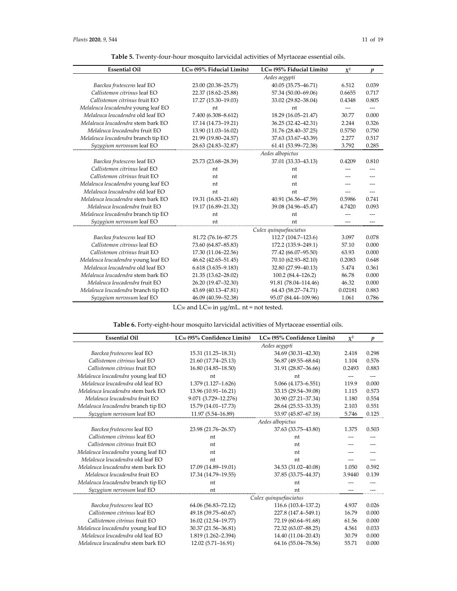| <b>Essential Oil</b>                | LC <sub>50</sub> (95% Fiducial Limits) | LC <sub>90</sub> (95% Fiducial Limits) | $\chi^2$ | $\boldsymbol{p}$ |
|-------------------------------------|----------------------------------------|----------------------------------------|----------|------------------|
|                                     |                                        | Aedes aegypti                          |          |                  |
| Baeckea frutescens leaf EO          | 23.00 (20.38-25.75)                    | 40.05 (35.75-46.71)                    | 6.512    | 0.039            |
| Callistemon citrinus leaf EO        | 22.37 (18.62-25.88)                    | 57.34 (50.00-69.06)                    | 0.6655   | 0.717            |
| Callistemon citrinus fruit EO       | 17.27 (15.30-19.03)                    | 33.02 (29.82-38.04)                    | 0.4348   | 0.805            |
| Melaleuca leucadendra young leaf EO | nt                                     | nt                                     | $---$    | $---$            |
| Melaleuca leucadendra old leaf EO   | 7.400 (6.308-8.612)                    | 18.29 (16.05-21.47)                    | 30.77    | 0.000            |
| Melaleuca leucadendra stem bark EO  | 17.14 (14.73-19.21)                    | 36.25 (32.42-42.31)                    | 2.244    | 0.326            |
| Melaleuca leucadendra fruit EO      | 13.90 (11.03-16.02)                    | 31.76 (28.40-37.25)                    | 0.5750   | 0.750            |
| Melaleuca leucadendra branch tip EO | 21.99 (19.80-24.57)                    | 37.63 (33.67-43.39)                    | 2.277    | 0.517            |
| Syzygium nervosum leaf EO           | 28.63 (24.83-32.87)                    | 61.41 (53.99-72.38)                    | 3.792    | 0.285            |
|                                     |                                        | Aedes albopictus                       |          |                  |
| Baeckea frutescens leaf EO          | 25.73 (23.68-28.39)                    | 37.01 (33.33-43.13)                    | 0.4209   | 0.810            |
| Callistemon citrinus leaf EO        | nt                                     | nt                                     |          |                  |
| Callistemon citrinus fruit EO       | nt                                     | nt                                     |          |                  |
| Melaleuca leucadendra young leaf EO | nt                                     | nt                                     |          |                  |
| Melaleuca leucadendra old leaf EO   | nt                                     | nt                                     |          |                  |
| Melaleuca leucadendra stem bark EO  | 19.31 (16.83-21.60)                    | 40.91 (36.56-47.59)                    | 0.5986   | 0.741            |
| Melaleuca leucadendra fruit EO      | 19.17 (16.89-21.32)                    | 39.08 (34.96-45.47)                    | 4.7420   | 0.093            |
| Melaleuca leucadendra branch tip EO | nt                                     | nt                                     |          |                  |
| Syzygium nervosum leaf EO           | nt                                     | nt                                     |          |                  |
|                                     |                                        | Culex quinquefasciatus                 |          |                  |
| Baeckea frutescens leaf EO          | 81.72 (76.16-87.75)                    | 112.7 (104.7-123.6)                    | 3.097    | 0.078            |
| Callistemon citrinus leaf EO        | 73.60 (64.87-85.83)                    | 172.2 (135.9-249.1)                    | 57.10    | 0.000            |
| Callistemon citrinus fruit EO       | 17.30 (11.04-22.56)                    | 77.42 (66.07-95.50)                    | 63.93    | 0.000            |
| Melaleuca leucadendra young leaf EO | 46.62 (42.65–51.45)                    | 70.10 (62.93-82.10)                    | 0.2083   | 0.648            |
| Melaleuca leucadendra old leaf EO   | $6.618(3.635 - 9.183)$                 | 32.80 (27.99-40.13)                    | 5.474    | 0.361            |
| Melaleuca leucadendra stem bark EO  | 21.35 (13.62-28.02)                    | 100.2 (84.4–126.2)                     | 86.78    | 0.000            |
| Melaleuca leucadendra fruit EO      | 26.20 (19.47-32.30)                    | 91.81 (78.04-114.46)                   | 46.32    | 0.000            |
| Melaleuca leucadendra branch tip EO | 43.69 (40.13-47.81)                    | 64.43 (58.27-74.71)                    | 0.02181  | 0.883            |
| Syzygium nervosum leaf EO           | 46.09 (40.59-52.38)                    | 95.07 (84.44-109.96)                   | 1.061    | 0.786            |

| Table 5. Twenty-four-hour mosquito larvicidal activities of Myrtaceae essential oils. |
|---------------------------------------------------------------------------------------|
|---------------------------------------------------------------------------------------|

LC50 and LC90 in μg/mL. nt = not tested.

|  |  |  |  |  |  |  |  |  |  |  |  |  |  |  |  | <b>Table 6.</b> Forty-eight-hour mosquito larvicidal activities of Myrtaceae essential oils. |  |
|--|--|--|--|--|--|--|--|--|--|--|--|--|--|--|--|----------------------------------------------------------------------------------------------|--|
|--|--|--|--|--|--|--|--|--|--|--|--|--|--|--|--|----------------------------------------------------------------------------------------------|--|

| <b>Essential Oil</b>                | LC <sub>50</sub> (95% Confidence Limits) | LC <sub>90</sub> (95% Confidence Limits) | $\chi^2$ | $\boldsymbol{p}$ |
|-------------------------------------|------------------------------------------|------------------------------------------|----------|------------------|
|                                     |                                          | Aedes aegypti                            |          |                  |
| Baeckea frutescens leaf EO          | 15.31 (11.25-18.31)                      | 34.69 (30.31-42.30)                      | 2.418    | 0.298            |
| Callistemon citrinus leaf EO        | 21.60 (17.74-25.13)                      | 56.87 (49.55-68.64)                      | 1.104    | 0.576            |
| Callistemon citrinus fruit EO       | 16.80 (14.85-18.50)                      | 31.91 (28.87-36.66)                      | 0.2493   | 0.883            |
| Melaleuca leucadendra young leaf EO | nt                                       | nt                                       |          |                  |
| Melaleuca leucadendra old leaf EO   | 1.379 (1.127-1.626)                      | 5.066 (4.173-6.551)                      | 119.9    | 0.000            |
| Melaleuca leucadendra stem bark EO  | 13.96 (10.91-16.21)                      | 33.15 (29.54-39.08)                      | 1.115    | 0.573            |
| Melaleuca leucadendra fruit EO      | 9.071 (3.729-12.276)                     | 30.90 (27.21-37.34)                      | 1.180    | 0.554            |
| Melaleuca leucadendra branch tip EO | 15.79 (14.01-17.73)                      | 28.64 (25.53-33.35)                      | 2.103    | 0.551            |
| Syzygium nervosum leaf EO           | 11.97 (5.54-16.89)                       | 53.97 (45.87-67.18)                      | 5.746    | 0.125            |
|                                     |                                          | Aedes albopictus                         |          |                  |
| Baeckea frutescens leaf EO          | 23.98 (21.76-26.57)                      | 37.63 (33.75-43.80)                      | 1.375    | 0.503            |
| Callistemon citrinus leaf EO        | nt                                       | nt                                       |          |                  |
| Callistemon citrinus fruit EO       | nt                                       | nt                                       |          |                  |
| Melaleuca leucadendra young leaf EO | nt                                       | nt                                       |          |                  |
| Melaleuca leucadendra old leaf EO   | nt                                       | nt                                       |          |                  |
| Melaleuca leucadendra stem bark EO  | 17.09 (14.89-19.01)                      | 34.53 (31.02-40.08)                      | 1.050    | 0.592            |
| Melaleuca leucadendra fruit EO      | 17.34 (14.79-19.55)                      | 37.85 (33.75-44.37)                      | 3.9440   | 0.139            |
| Melaleuca leucadendra branch tip EO | nt                                       | nt                                       |          |                  |
| Syzygium nervosum leaf EO           | nt                                       | nt                                       |          |                  |
|                                     |                                          | Culex quinquefasciatus                   |          |                  |
| Baeckea frutescens leaf EO          | 64.06 (56.83-72.12)                      | 116.6 (103.4–137.2)                      | 4.937    | 0.026            |
| Callistemon citrinus leaf EO        | 49.18 (39.75-60.67)                      | 227.8 (147.4-549.1)                      | 16.79    | 0.000            |
| Callistemon citrinus fruit EO       | 16.02 (12.54-19.77)                      | 72.19 (60.64-91.68)                      | 61.56    | 0.000            |
| Melaleuca leucadendra young leaf EO | 30.37 (21.56-36.81)                      | 72.32 (63.07-88.25)                      | 4.561    | 0.033            |
| Melaleuca leucadendra old leaf EO   | 1.819 (1.262-2.394)                      | 14.40 (11.04-20.43)                      | 30.79    | 0.000            |
| Melaleuca leucadendra stem bark EO  | 12.02 (5.71-16.91)                       | 64.16 (55.04-78.56)                      | 55.71    | 0.000            |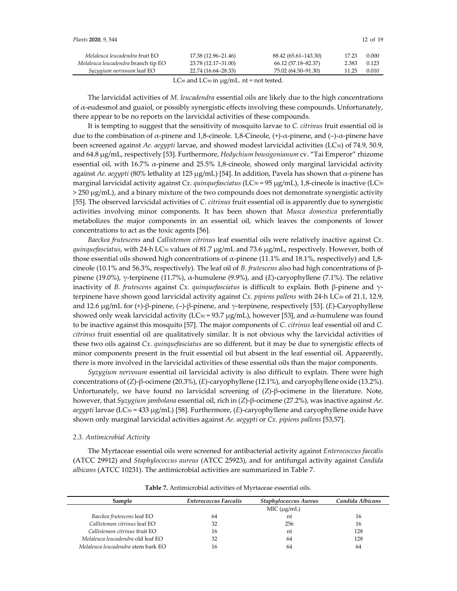| Plants 2020, 9, 544                 |                     |                      |       | 12 of $19$ |
|-------------------------------------|---------------------|----------------------|-------|------------|
| Melaleuca leucadendra fruit EO      | 17.38 (12.96–21.46) | 88.42 (65.61–143.30) | 17.23 | 0.000      |
| Melaleuca leucadendra branch tip EO | 23.78 (12.17-31.00) | 66.12 (57.18–82.37)  | 2.383 | 0.123      |
| Syzygium nervosum leaf EO           | 22.74 (16.64–28.33) | 75.02 (64.50–91.30)  | 11.25 | 0.010      |

LC $_{50}$  and LC $_{90}$  in  $\mu$ g/mL. nt = not tested.

The larvicidal activities of *M. leucadendra* essential oils are likely due to the high concentrations of α-eudesmol and guaiol, or possibly synergistic effects involving these compounds. Unfortunately, there appear to be no reports on the larvicidal activities of these compounds.

It is tempting to suggest that the sensitivity of mosquito larvae to *C. citrinus* fruit essential oil is due to the combination of α-pinene and 1,8-cineole. 1,8-Cineole,  $(+)$ -α-pinene, and  $(-)$ -α-pinene have been screened against *Ae. aegypti* larvae, and showed modest larvicidal activities (LC<sub>50</sub>) of 74.9, 50.9, and 64.8 μg/mL, respectively [53]. Furthermore, *Hedychium bousigonianum* cv. "Tai Emperor" rhizome essential oil, with 16.7%  $\alpha$ -pinene and 25.5% 1,8-cineole, showed only marginal larvicidal activity against *Ae. aegypti* (80% lethality at 125 μg/mL) [54]. In addition, Pavela has shown that α-pinene has marginal larvicidal activity against *Cx. quinquefasciatus* (LC50 = 95 μg/mL), 1,8-cineole is inactive (LC50 > 250 μg/mL), and a binary mixture of the two compounds does not demonstrate synergistic activity [55]. The observed larvicidal activities of *C. citrinus* fruit essential oil is apparently due to synergistic activities involving minor components. It has been shown that *Musca domestica* preferentially metabolizes the major components in an essential oil, which leaves the components of lower concentrations to act as the toxic agents [56].

*Baeckea frutescens* and *Callistemon citrinus* leaf essential oils were relatively inactive against *Cx. quinquefasciatus*, with 24-h LC<sub>50</sub> values of 81.7 μg/mL and 73.6 μg/mL, respectively. However, both of those essential oils showed high concentrations of  $\alpha$ -pinene (11.1% and 18.1%, respectively) and 1,8cineole (10.1% and 56.3%, respectively). The leaf oil of *B. frutescens* also had high concentrations of βpinene (19.0%), γ-terpinene (11.7%), α-humulene (9.9%), and (*E*)-caryophyllene (7.1%). The relative inactivity of *B. frutescens* against *Cx. quinquefasciatus* is difficult to explain. Both β-pinene and γterpinene have shown good larvicidal activity against *Cx. pipiens pallens* with 24-h LC<sub>50</sub> of 21.1, 12.9, and 12.6 μg/mL for (+)-β-pinene, (–)-β-pinene, and γ-terpinene, respectively [53]. (*E*)-Caryophyllene showed only weak larvicidal activity (LC $50 = 93.7 \mu g/mL$ ), however [53], and  $\alpha$ -humulene was found to be inactive against this mosquito [57]. The major components of *C. citrinus* leaf essential oil and *C. citrinus* fruit essential oil are qualitatively similar. It is not obvious why the larvicidal activities of these two oils against *Cx. quinquefasciatus* are so different, but it may be due to synergistic effects of minor components present in the fruit essential oil but absent in the leaf essential oil. Apparently, there is more involved in the larvicidal activities of these essential oils than the major components.

*Syzygium nervosum* essential oil larvicidal activity is also difficult to explain. There were high concentrations of (*Z*)-β-ocimene (20.3%), (*E*)-caryophyllene (12.1%), and caryophyllene oxide (13.2%). Unfortunately, we have found no larvicidal screening of (*Z*)-β-ocimene in the literature. Note, however, that *Syzygium jambolana* essential oil, rich in (*Z*)-β-ocimene (27.2%), was inactive against *Ae. aegypti* larvae (LC50 = 433 μg/mL) [58]. Furthermore, (*E*)-caryophyllene and caryophyllene oxide have shown only marginal larvicidal activities against *Ae. aegypti* or *Cx. pipiens pallens* [53,57].

#### *2.3. Antimicrobial Activity*

The Myrtaceae essential oils were screened for antibacterial activity against *Enterococcus faecalis* (ATCC 29912) and *Staphylococcus aureus* (ATCC 25923), and for antifungal activity against *Candida albicans* (ATCC 10231). The antimicrobial activities are summarized in Table 7.

| Enterococcus Faecalis | <b>Staphylococcus Aureus</b> | Candida Albicans |
|-----------------------|------------------------------|------------------|
|                       | MIC (µg/mL)                  |                  |
| 64                    | nt                           | 16               |
| 32                    | 256                          | 16               |
| 16                    | nt                           | 128              |
| 32                    | 64                           | 128              |
| 16                    | 64                           | 64               |
|                       |                              |                  |

**Table 7.** Antimicrobial activities of Myrtaceae essential oils.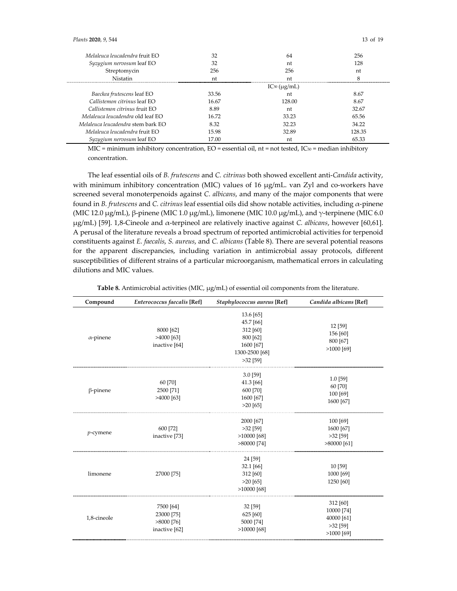| Melaleuca leucadendra fruit EO     | 32    | 64                      | 256    |
|------------------------------------|-------|-------------------------|--------|
| Syzygium nervosum leaf EO          | 32    | 'nt                     | 128    |
| Streptomycin                       | 256   | 256                     | nt     |
| Nistatin                           | 'nt   | 'nt                     |        |
|                                    |       | $IC_{50}$ ( $\mu$ g/mL) |        |
| Baeckea frutescens leaf EO         | 33.56 | 'nt                     | 8.67   |
| Callistemon citrinus leaf EO       | 16.67 | 128.00                  | 8.67   |
| $Callistemon$ citrinus fruit $EO$  | 8.89  | 'nt                     | 32.67  |
| Melaleuca leucadendra old leaf EO  | 16.72 | 33.23                   | 65.56  |
| Melaleuca leucadendra stem bark EO | 8.32  | 32.23                   | 34.22  |
| Melaleuca leucadendra fruit EO     | 15.98 | 32.89                   | 128.35 |
| Syzygium nervosum leaf EO          | 17.00 | 'nt                     | 65.33  |

MIC = minimum inhibitory concentration,  $EO =$  essential oil,  $nt =$  not tested,  $IC_{50} =$  median inhibitory concentration.

The leaf essential oils of *B. frutescens* and *C. citrinus* both showed excellent anti-*Candida* activity, with minimum inhibitory concentration (MIC) values of 16  $\mu$ g/mL. van Zyl and co-workers have screened several monoterpenoids against *C. albicans*, and many of the major components that were found in *B. frutescens* and *C. citrinus* leaf essential oils did show notable activities, including α-pinene (MIC 12.0 μg/mL), β-pinene (MIC 1.0 μg/mL), limonene (MIC 10.0 μg/mL), and γ-terpinene (MIC 6.0 μg/mL) [59]. 1,8-Cineole and α-terpineol are relatively inactive against *C. albicans*, however [60,61]. A perusal of the literature reveals a broad spectrum of reported antimicrobial activities for terpenoid constituents against *E. faecalis*, *S. aureus*, and *C. albicans* (Table 8). There are several potential reasons for the apparent discrepancies, including variation in antimicrobial assay protocols, different susceptibilities of different strains of a particular microorganism, mathematical errors in calculating dilutions and MIC values.

| Compound         | Enterococcus faecalis [Ref]                              | Staphylococcus aureus [Ref]                                                                 | Candida albicans [Ref]                                             |
|------------------|----------------------------------------------------------|---------------------------------------------------------------------------------------------|--------------------------------------------------------------------|
| $\alpha$ -pinene | 8000 [62]<br>$>4000$ [63]<br>inactive [64]               | 13.6 [65]<br>45.7 [66]<br>312 [60]<br>800 [62]<br>1600 [67]<br>1300-2500 [68]<br>$>32$ [59] | 12 [59]<br>156 [60]<br>800 [67]<br>$>1000$ [69]                    |
| $\beta$ -pinene  | 60 [70]<br>2500 [71]<br>$>4000$ [63]                     | $3.0$ [59]<br>41.3 [66]<br>600 [70]<br>1600 [67]<br>$>20$ [65]                              | $1.0$ [59]<br>60 [70]<br>100 [69]<br>1600 [67]                     |
| $p$ -cymene      | 600 [72]<br>inactive [73]                                | 2000 [67]<br>$>32$ [59]<br>$>10000$ [68]<br>$>80000$ [74]                                   | 100 [69]<br>1600 [67]<br>$>32$ [59]<br>$>80000$ [61]               |
| limonene         | 27000 [75]                                               | 24 [59]<br>32.1 [66]<br>312 [60]<br>$>20$ [65]<br>$>10000$ [68]                             | 10 [59]<br>1000 [69]<br>1250 [60]                                  |
| 1,8-cineole      | 7500 [64]<br>23000 [75]<br>$>8000$ [76]<br>inactive [62] | 32 [59]<br>625 [60]<br>5000 [74]<br>$>10000$ [68]                                           | 312 [60]<br>10000 [74]<br>40000 [61]<br>$>32$ [59]<br>$>1000$ [69] |

**Table 8.** Antimicrobial activities (MIC, μg/mL) of essential oil components from the literature.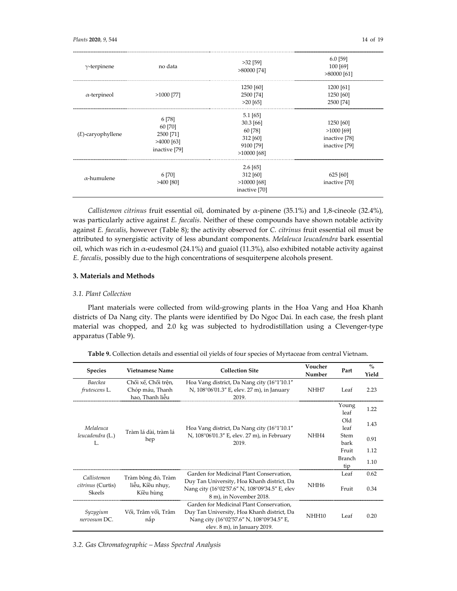| $\gamma$ -terpinene  | no data                                                         | $>32$ [59]<br>$>80000$ [74]                                                    | $6.0$ [59]<br>100 [69]<br>$>80000$ [61]                     |
|----------------------|-----------------------------------------------------------------|--------------------------------------------------------------------------------|-------------------------------------------------------------|
| $\alpha$ -terpineol  | $>1000$ [77]                                                    | 1250 [60]<br>2500 [74]<br>$>20$ [65]                                           | 1200 [61]<br>1250 [60]<br>2500 [74]                         |
| $(E)$ -caryophyllene | 6 [78]<br>60 [70]<br>2500 [71]<br>$>4000$ [63]<br>inactive [79] | $5.1$ [65]<br>$30.3$ [66]<br>60 [78]<br>312 [60]<br>9100 [79]<br>$>10000$ [68] | 1250 [60]<br>$>1000$ [69]<br>inactive [78]<br>inactive [79] |
| $\alpha$ -humulene   | 6 [70]<br>$>400$ [80]                                           | $2.6$ [65]<br>312 [60]<br>$>10000$ [68]<br>inactive [70]                       | 625 [60]<br>inactive [70]                                   |

*Callistemon citrinus* fruit essential oil, dominated by α-pinene (35.1%) and 1,8-cineole (32.4%), was particularly active against *E. faecalis*. Neither of these compounds have shown notable activity against *E. faecalis*, however (Table 8); the activity observed for *C. citrinus* fruit essential oil must be attributed to synergistic activity of less abundant components. *Melaleuca leucadendra* bark essential oil, which was rich in α-eudesmol (24.1%) and guaiol (11.3%), also exhibited notable activity against *E. faecalis*, possibly due to the high concentrations of sesquiterpene alcohols present.

## **3. Materials and Methods**

## *3.1. Plant Collection*

Plant materials were collected from wild-growing plants in the Hoa Vang and Hoa Khanh districts of Da Nang city. The plants were identified by Do Ngoc Dai. In each case, the fresh plant material was chopped, and 2.0 kg was subjected to hydrodistillation using a Clevenger-type apparatus (Table 9).

| <b>Species</b>                                                                                    | <b>Vietnamese Name</b>                                                                                                  | <b>Collection Site</b>                                                                                                                                              | Voucher<br>Number | Part                 | $\%$<br>Yield |
|---------------------------------------------------------------------------------------------------|-------------------------------------------------------------------------------------------------------------------------|---------------------------------------------------------------------------------------------------------------------------------------------------------------------|-------------------|----------------------|---------------|
| <b>Baeckea</b><br>frutescens L.                                                                   | Chổi xể, Chổi trên,<br>Chóp máu, Thanh<br>hao, Thanh liễu                                                               | Hoa Vang district, Da Nang city (16°1'10.1"<br>N, 108°06'01.3" E, elev. 27 m), in January<br>2019.                                                                  | NHH7              | Leaf                 | 2.23          |
| Melaleuca<br>Tràm lá dài, tràm lá<br>leucadendra (L.)<br>hęp<br>L.                                |                                                                                                                         |                                                                                                                                                                     |                   | Young<br>leaf        | 1.22          |
|                                                                                                   | Hoa Vang district, Da Nang city (16°1'10.1"                                                                             |                                                                                                                                                                     | Old<br>leaf       | 1.43                 |               |
|                                                                                                   |                                                                                                                         | N, 108°06'01.3" E, elev. 27 m), in February<br>2019.                                                                                                                | NHH4              | Stem<br>bark         | 0.91          |
|                                                                                                   |                                                                                                                         |                                                                                                                                                                     |                   | Fruit                | 1.12          |
|                                                                                                   |                                                                                                                         |                                                                                                                                                                     |                   | <b>Branch</b><br>tip | 1.10          |
| Callistemon<br>Tràm bông đỏ, Tràm<br>liễu, Kiều nhụy,<br>citrinus (Curtis)<br>Kiều hùng<br>Skeels |                                                                                                                         | Garden for Medicinal Plant Conservation,                                                                                                                            |                   | Leaf                 | 0.62          |
|                                                                                                   | Duy Tan University, Hoa Khanh district, Da<br>Nang city (16°02'57.6" N, 108°09'34.5" E, elev<br>8 m), in November 2018. | NHH <sub>6</sub>                                                                                                                                                    | Fruit             | 0.34                 |               |
| Syzygium<br>nervosum DC.                                                                          | Vối, Trâm vối, Trâm<br>năp                                                                                              | Garden for Medicinal Plant Conservation.<br>Duy Tan University, Hoa Khanh district, Da<br>Nang city (16°02'57.6" N, 108°09'34.5" E,<br>elev. 8 m), in January 2019. | NHH <sub>10</sub> | Leaf                 | 0.20          |

**Table 9.** Collection details and essential oil yields of four species of Myrtaceae from central Vietnam.

*3.2. Gas Chromatographic – Mass Spectral Analysis*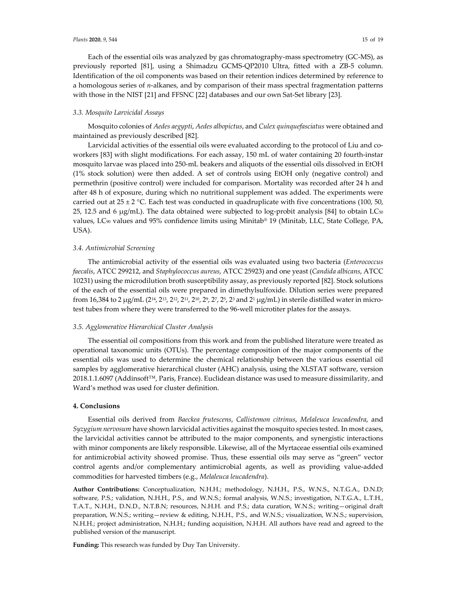#### *Plants* **2020**, *9*, 544 15 of 19

Each of the essential oils was analyzed by gas chromatography-mass spectrometry (GC-MS), as previously reported [81], using a Shimadzu GCMS-QP2010 Ultra, fitted with a ZB-5 column. Identification of the oil components was based on their retention indices determined by reference to a homologous series of *n*-alkanes, and by comparison of their mass spectral fragmentation patterns with those in the NIST [21] and FFSNC [22] databases and our own Sat-Set library [23].

#### *3.3. Mosquito Larvicidal Assays*

Mosquito colonies of *Aedes aegypti*, *Aedes albopictus*, and *Culex quinquefasciatus* were obtained and maintained as previously described [82].

Larvicidal activities of the essential oils were evaluated according to the protocol of Liu and coworkers [83] with slight modifications. For each assay, 150 mL of water containing 20 fourth-instar mosquito larvae was placed into 250-mL beakers and aliquots of the essential oils dissolved in EtOH (1% stock solution) were then added. A set of controls using EtOH only (negative control) and permethrin (positive control) were included for comparison. Mortality was recorded after 24 h and after 48 h of exposure, during which no nutritional supplement was added. The experiments were carried out at  $25 \pm 2$  °C. Each test was conducted in quadruplicate with five concentrations (100, 50, 25, 12.5 and 6 μg/mL). The data obtained were subjected to log-probit analysis [84] to obtain LC<sub>50</sub> values, LC90 values and 95% confidence limits using Minitab® 19 (Minitab, LLC, State College, PA, USA).

#### *3.4. Antimicrobial Screening*

The antimicrobial activity of the essential oils was evaluated using two bacteria (*Enterococcus faecalis*, ATCC 299212, and *Staphylococcus aureus*, ATCC 25923) and one yeast (*Candida albicans*, ATCC 10231) using the microdilution broth susceptibility assay, as previously reported [82]. Stock solutions of the each of the essential oils were prepared in dimethylsulfoxide. Dilution series were prepared from 16,384 to 2 μg/mL ( $2^{14}$ ,  $2^{13}$ ,  $2^{12}$ ,  $2^{11}$ ,  $2^{10}$ ,  $2^9$ ,  $2^7$ ,  $2^5$ ,  $2^3$  and  $2^1$  µg/mL) in sterile distilled water in microtest tubes from where they were transferred to the 96-well microtiter plates for the assays.

#### *3.5. Agglomerative Hierarchical Cluster Analysis*

The essential oil compositions from this work and from the published literature were treated as operational taxonomic units (OTUs). The percentage composition of the major components of the essential oils was used to determine the chemical relationship between the various essential oil samples by agglomerative hierarchical cluster (AHC) analysis, using the XLSTAT software, version 2018.1.1.6097 (Addinsoft™, Paris, France). Euclidean distance was used to measure dissimilarity, and Ward's method was used for cluster definition.

## **4. Conclusions**

Essential oils derived from *Baeckea frutescens*, *Callistemon citrinus*, *Melaleuca leucadendra*, and *Syzygium nervosum* have shown larvicidal activities against the mosquito species tested. In most cases, the larvicidal activities cannot be attributed to the major components, and synergistic interactions with minor components are likely responsible. Likewise, all of the Myrtaceae essential oils examined for antimicrobial activity showed promise. Thus, these essential oils may serve as "green" vector control agents and/or complementary antimicrobial agents, as well as providing value-added commodities for harvested timbers (e.g., *Melaleuca leucadendra*).

**Author Contributions:** Conceptualization, N.H.H.; methodology, N.H.H., P.S., W.N.S., N.T.G.A., D.N.D; software, P.S.; validation, N.H.H., P.S., and W.N.S.; formal analysis, W.N.S.; investigation, N.T.G.A., L.T.H., T.A.T., N.H.H., D.N.D., N.T.B.N; resources, N.H.H. and P.S.; data curation, W.N.S.; writing—original draft preparation, W.N.S.; writing—review & editing, N.H.H., P.S., and W.N.S.; visualization, W.N.S.; supervision, N.H.H.; project administration, N.H.H.; funding acquisition, N.H.H. All authors have read and agreed to the published version of the manuscript.

**Funding:** This research was funded by Duy Tan University.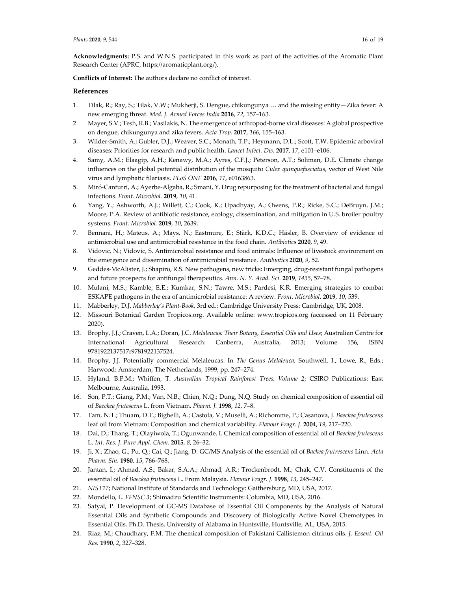**Acknowledgments:** P.S. and W.N.S. participated in this work as part of the activities of the Aromatic Plant Research Center (APRC, https://aromaticplant.org/).

**Conflicts of Interest:** The authors declare no conflict of interest.

## **References**

- 1. Tilak, R.; Ray, S.; Tilak, V.W.; Mukherji, S. Dengue, chikungunya … and the missing entity—Zika fever: A new emerging threat. *Med. J. Armed Forces India* **2016**, *72*, 157–163.
- 2. Mayer, S.V.; Tesh, R.B.; Vasilakis, N. The emergence of arthropod-borne viral diseases: A global prospective on dengue, chikungunya and zika fevers. *Acta Trop.* **2017**, *166*, 155–163.
- 3. Wilder-Smith, A.; Gubler, D.J.; Weaver, S.C.; Monath, T.P.; Heymann, D.L.; Scott, T.W. Epidemic arboviral diseases: Priorities for research and public health. *Lancet Infect. Dis.* **2017**, *17*, e101–e106.
- 4. Samy, A.M.; Elaagip, A.H.; Kenawy, M.A.; Ayres, C.F.J.; Peterson, A.T.; Soliman, D.E. Climate change influences on the global potential distribution of the mosquito *Culex quinquefasciatus*, vector of West Nile virus and lymphatic filariasis. *PLoS ONE* **2016**, *11*, e0163863.
- 5. Miró-Canturri, A.; Ayerbe-Algaba, R.; Smani, Y. Drug repurposing for the treatment of bacterial and fungal infections. *Front. Microbiol.* **2019**, *10*, 41.
- 6. Yang, Y.; Ashworth, A.J.; Willett, C.; Cook, K.; Upadhyay, A.; Owens, P.R.; Ricke, S.C.; DeBruyn, J.M.; Moore, P.A. Review of antibiotic resistance, ecology, dissemination, and mitigation in U.S. broiler poultry systems. *Front. Microbiol.* **2019**, *10*, 2639.
- 7. Bennani, H.; Mateus, A.; Mays, N.; Eastmure, E.; Stärk, K.D.C.; Häsler, B. Overview of evidence of antimicrobial use and antimicrobial resistance in the food chain. *Antibiotics* **2020**, *9*, 49.
- 8. Vidovic, N.; Vidovic, S. Antimicrobial resistance and food animals: Influence of livestock environment on the emergence and dissemination of antimicrobial resistance. *Antibiotics* **2020**, *9*, 52.
- 9. Geddes-McAlister, J.; Shapiro, R.S. New pathogens, new tricks: Emerging, drug-resistant fungal pathogens and future prospects for antifungal therapeutics. *Ann. N. Y. Acad. Sci.* **2019**, *1435*, 57–78.
- 10. Mulani, M.S.; Kamble, E.E.; Kumkar, S.N.; Tawre, M.S.; Pardesi, K.R. Emerging strategies to combat ESKAPE pathogens in the era of antimicrobial resistance: A review. *Front. Microbiol.* **2019**, *10*, 539.
- 11. Mabberley, D.J. *Mabberley's Plant-Book*, 3rd ed.; Cambridge University Press: Cambridge, UK, 2008.
- 12. Missouri Botanical Garden Tropicos.org. Available online: www.tropicos.org (accessed on 11 February 2020).
- 13. Brophy, J.J.; Craven, L.A.; Doran, J.C. *Melaleucas: Their Botany, Essential Oils and Uses*; Australian Centre for International Agricultural Research: Canberra, Australia, 2013; Volume 156, ISBN 9781922137517r9781922137524.
- 14. Brophy, J.J. Potentially commercial Melaleucas. In *The Genus Melaleuca*; Southwell, I., Lowe, R., Eds.; Harwood: Amsterdam, The Netherlands, 1999; pp. 247–274.
- 15. Hyland, B.P.M.; Whiffen, T. *Australian Tropical Rainforest Trees, Volume 2*; CSIRO Publications: East Melbourne, Australia, 1993.
- 16. Son, P.T.; Giang, P.M.; Van, N.B.; Chien, N.Q.; Dung, N.Q. Study on chemical composition of essential oil of *Baeckea frutescens* L. from Vietnam. *Pharm. J.* **1998**, *12*, 7–8.
- 17. Tam, N.T.; Thuam, D.T.; Bighelli, A.; Castola, V.; Muselli, A.; Richomme, P.; Casanova, J. *Baeckea frutescens* leaf oil from Vietnam: Composition and chemical variability. *Flavour Fragr. J.* **2004**, *19*, 217–220.
- 18. Dai, D.; Thang, T.; Olayiwola, T.; Ogunwande, I. Chemical composition of essential oil of *Baeckea frutescens* L. *Int. Res. J. Pure Appl. Chem.* **2015**, *8*, 26–32.
- 19. Ji, X.; Zhao, G.; Pu, Q.; Cai, Q.; Jiang, D. GC/MS Analysis of the essential oil of *Backea frutrescens* Linn. *Acta Pharm. Sin.* **1980**, *15*, 766–768.
- 20. Jantan, I.; Ahmad, A.S.; Bakar, S.A.A.; Ahmad, A.R.; Trockenbrodt, M.; Chak, C.V. Constituents of the essential oil of *Baeckea frutescens* L. From Malaysia. *Flavour Fragr. J.* **1998**, *13*, 245–247.
- 21. *NIST17*; National Institute of Standards and Technology: Gaithersburg, MD, USA, 2017.
- 22. Mondello, L. *FFNSC 3*; Shimadzu Scientific Instruments: Columbia, MD, USA, 2016.
- 23. Satyal, P. Development of GC-MS Database of Essential Oil Components by the Analysis of Natural Essential Oils and Synthetic Compounds and Discovery of Biologically Active Novel Chemotypes in Essential Oils. Ph.D. Thesis, University of Alabama in Huntsville, Huntsville, AL, USA, 2015.
- 24. Riaz, M.; Chaudhary, F.M. The chemical composition of Pakistani Callistemon citrinus oils. *J. Essent. Oil Res.* **1990**, *2*, 327–328.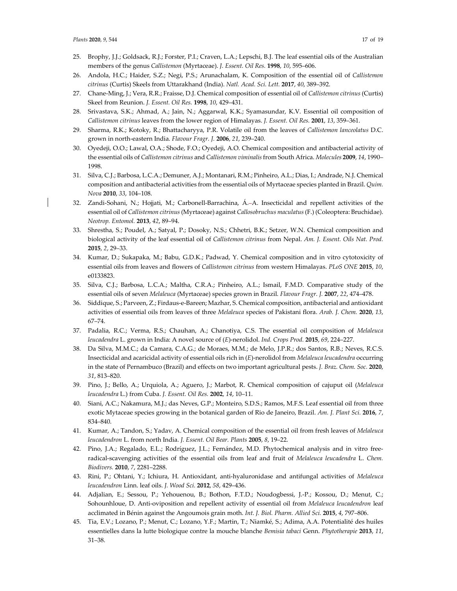- 25. Brophy, J.J.; Goldsack, R.J.; Forster, P.I.; Craven, L.A.; Lepschi, B.J. The leaf essential oils of the Australian members of the genus *Callistemon* (Myrtaceae). *J. Essent. Oil Res.* **1998**, *10*, 595–606.
- 26. Andola, H.C.; Haider, S.Z.; Negi, P.S.; Arunachalam, K. Composition of the essential oil of *Callistemon citrinus* (Curtis) Skeels from Uttarakhand (India). *Natl. Acad. Sci. Lett.* **2017**, *40*, 389–392.
- 27. Chane-Ming, J.; Vera, R.R.; Fraisse, D.J. Chemical composition of essential oil of *Callistemon citrinus* (Curtis) Skeel from Reunion. *J. Essent. Oil Res.* **1998**, *10*, 429–431.
- 28. Srivastava, S.K.; Ahmad, A.; Jain, N.; Aggarwal, K.K.; Syamasundar, K.V. Essential oil composition of *Callistemon citrinus* leaves from the lower region of Himalayas. *J. Essent. Oil Res.* **2001**, *13*, 359–361.
- 29. Sharma, R.K.; Kotoky, R.; Bhattacharyya, P.R. Volatile oil from the leaves of *Callistemon lanceolatus* D.C. grown in north-eastern India. *Flavour Fragr. J.* **2006**, *21*, 239–240.
- 30. Oyedeji, O.O.; Lawal, O.A.; Shode, F.O.; Oyedeji, A.O. Chemical composition and antibacterial activity of the essential oils of *Callistemon citrinus* and *Callistemon viminalis* from South Africa. *Molecules* **2009**, *14*, 1990– 1998.
- 31. Silva, C.J.; Barbosa, L.C.A.; Demuner, A.J.; Montanari, R.M.; Pinheiro, A.L.; Dias, I.; Andrade, N.J. Chemical composition and antibacterial activities from the essential oils of Myrtaceae species planted in Brazil. *Quim. Nova* **2010**, *33*, 104–108.
- 32. Zandi-Sohani, N.; Hojjati, M.; Carbonell-Barrachina, Á.–A. Insecticidal and repellent activities of the essential oil of *Callistemon citrinus*(Myrtaceae) against *Callosobruchus maculatus*(F.) (Coleoptera: Bruchidae). *Neotrop. Entomol.* **2013**, *42*, 89–94.
- 33. Shrestha, S.; Poudel, A.; Satyal, P.; Dosoky, N.S.; Chhetri, B.K.; Setzer, W.N. Chemical composition and biological activity of the leaf essential oil of *Callistemon citrinus* from Nepal. *Am. J. Essent. Oils Nat. Prod.* **2015**, *2*, 29–33.
- 34. Kumar, D.; Sukapaka, M.; Babu, G.D.K.; Padwad, Y. Chemical composition and in vitro cytotoxicity of essential oils from leaves and flowers of *Callistemon citrinus* from western Himalayas. *PLoS ONE* **2015**, *10*, e0133823.
- 35. Silva, C.J.; Barbosa, L.C.A.; Maltha, C.R.A.; Pinheiro, A.L.; Ismail, F.M.D. Comparative study of the essential oils of seven *Melaleuca* (Myrtaceae) species grown in Brazil. *Flavour Fragr. J.* **2007**, *22*, 474–478.
- 36. Siddique, S.; Parveen, Z.; Firdaus-e-Bareen; Mazhar, S. Chemical composition, antibacterial and antioxidant activities of essential oils from leaves of three *Melaleuca* species of Pakistani flora. *Arab. J. Chem.* **2020**, *13*, 67–74.
- 37. Padalia, R.C.; Verma, R.S.; Chauhan, A.; Chanotiya, C.S. The essential oil composition of *Melaleuca leucadendra* L. grown in India: A novel source of (*E*)-nerolidol. *Ind. Crops Prod.* **2015**, *69*, 224–227.
- 38. Da Silva, M.M.C.; da Camara, C.A.G.; de Moraes, M.M.; de Melo, J.P.R.; dos Santos, R.B.; Neves, R.C.S. Insecticidal and acaricidal activity of essential oils rich in (*E*)-nerolidol from *Melaleuca leucadendra* occurring in the state of Pernambuco (Brazil) and effects on two important agricultural pests. *J. Braz. Chem. Soc.* **2020**, *31*, 813–820.
- 39. Pino, J.; Bello, A.; Urquiola, A.; Aguero, J.; Marbot, R. Chemical composition of cajuput oil (*Melaleuca leucadendra* L.) from Cuba. *J. Essent. Oil Res.* **2002**, *14*, 10–11.
- 40. Siani, A.C.; Nakamura, M.J.; das Neves, G.P.; Monteiro, S.D.S.; Ramos, M.F.S. Leaf essential oil from three exotic Mytaceae species growing in the botanical garden of Rio de Janeiro, Brazil. *Am. J. Plant Sci.* **2016**, *7*, 834–840.
- 41. Kumar, A.; Tandon, S.; Yadav, A. Chemical composition of the essential oil from fresh leaves of *Melaleuca leucadendron* L. from north India. *J. Essent. Oil Bear. Plants* **2005**, *8*, 19–22.
- 42. Pino, J.A.; Regalado, E.L.; Rodríguez, J.L.; Fernández, M.D. Phytochemical analysis and in vitro freeradical-scavenging activities of the essential oils from leaf and fruit of *Melaleuca leucadendra* L. *Chem. Biodivers.* **2010**, *7*, 2281–2288.
- 43. Rini, P.; Ohtani, Y.; Ichiura, H. Antioxidant, anti-hyaluronidase and antifungal activities of *Melaleuca leucadendron* Linn. leaf oils. *J. Wood Sci.* **2012**, *58*, 429–436.
- 44. Adjalian, E.; Sessou, P.; Yehouenou, B.; Bothon, F.T.D.; Noudogbessi, J.-P.; Kossou, D.; Menut, C.; Sohounhloue, D. Anti-oviposition and repellent activity of essential oil from *Melaleuca leucadendron* leaf acclimated in Bénin against the Angoumois grain moth. *Int. J. Biol. Pharm. Allied Sci.* **2015**, *4*, 797–806.
- 45. Tia, E.V.; Lozano, P.; Menut, C.; Lozano, Y.F.; Martin, T.; Niamké, S.; Adima, A.A. Potentialité des huiles essentielles dans la lutte biologique contre la mouche blanche *Bemisia tabaci* Genn. *Phytotherapie* **2013**, *11*, 31–38.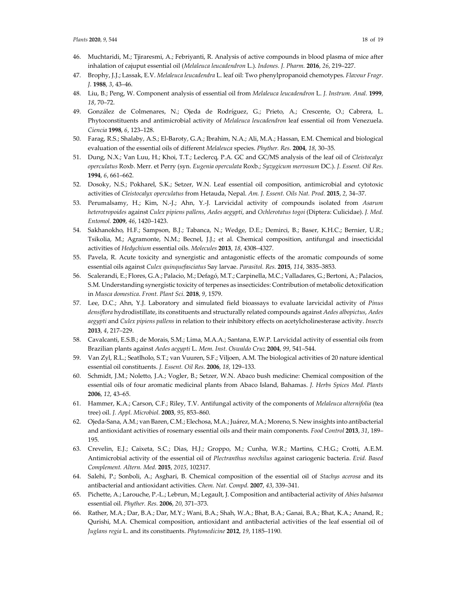- 46. Muchtaridi, M.; Tjiraresmi, A.; Febriyanti, R. Analysis of active compounds in blood plasma of mice after inhalation of cajuput essential oil (*Melaleuca leucadendron* L.). *Indones. J. Pharm.* **2016**, *26*, 219–227.
- 47. Brophy, J.J.; Lassak, E.V. *Melaleuca leucadendra* L. leaf oil: Two phenylpropanoid chemotypes. *Flavour Fragr. J.* **1988**, *3*, 43–46.
- 48. Liu, B.; Peng, W. Component analysis of essential oil from *Melaleuca leucadendron* L. *J. Instrum. Anal.* **1999**, *18*, 70–72.
- 49. González de Colmenares, N.; Ojeda de Rodríguez, G.; Prieto, A.; Crescente, O.; Cabrera, L. Phytoconstituents and antimicrobial activity of *Melaleuca leucadendron* leaf essential oil from Venezuela. *Ciencia* **1998**, *6*, 123–128.
- 50. Farag, R.S.; Shalaby, A.S.; El-Baroty, G.A.; Ibrahim, N.A.; Ali, M.A.; Hassan, E.M. Chemical and biological evaluation of the essential oils of different *Melaleuca* species. *Phyther. Res.* **2004**, *18*, 30–35.
- 51. Dung, N.X.; Van Luu, H.; Khoi, T.T.; Leclercq, P.A. GC and GC/MS analysis of the leaf oil of *Cleistocalyx operculatus* Roxb. Merr. et Perry (syn. *Eugenia operculata* Roxb.; *Syzygicum mervosum* DC.). *J. Essent. Oil Res.* **1994**, *6*, 661–662.
- 52. Dosoky, N.S.; Pokharel, S.K.; Setzer, W.N. Leaf essential oil composition, antimicrobial and cytotoxic activities of *Cleistocalyx operculatus* from Hetauda, Nepal. *Am. J. Essent. Oils Nat. Prod.* **2015**, *2*, 34–37.
- 53. Perumalsamy, H.; Kim, N.-J.; Ahn, Y.-J. Larvicidal activity of compounds isolated from *Asarum heterotropoides* against *Culex pipiens pallens*, *Aedes aegypti*, and *Ochlerotatus togoi* (Diptera: Culicidae). *J. Med. Entomol.* **2009**, *46*, 1420–1423.
- 54. Sakhanokho, H.F.; Sampson, B.J.; Tabanca, N.; Wedge, D.E.; Demirci, B.; Baser, K.H.C.; Bernier, U.R.; Tsikolia, M.; Agramonte, N.M.; Becnel, J.J.; et al. Chemical composition, antifungal and insecticidal activities of *Hedychium* essential oils. *Molecules* **2013**, *18*, 4308–4327.
- 55. Pavela, R. Acute toxicity and synergistic and antagonistic effects of the aromatic compounds of some essential oils against *Culex quinquefasciatus* Say larvae. *Parasitol. Res.* **2015**, *114*, 3835–3853.
- 56. Scalerandi, E.; Flores, G.A.; Palacio, M.; Defagó, M.T.; Carpinella, M.C.; Valladares, G.; Bertoni, A.; Palacios, S.M. Understanding synergistic toxicity of terpenes as insecticides: Contribution of metabolic detoxification in *Musca domestica*. *Front. Plant Sci.* **2018**, *9*, 1579.
- 57. Lee, D.C.; Ahn, Y.J. Laboratory and simulated field bioassays to evaluate larvicidal activity of *Pinus densiflora* hydrodistillate, its constituents and structurally related compounds against *Aedes albopictus*, *Aedes aegypti* and *Culex pipiens pallens* in relation to their inhibitory effects on acetylcholinesterase activity. *Insects* **2013**, *4*, 217–229.
- 58. Cavalcanti, E.S.B.; de Morais, S.M.; Lima, M.A.A.; Santana, E.W.P. Larvicidal activity of essential oils from Brazilian plants against *Aedes aegypti* L. *Mem. Inst. Oswaldo Cruz* **2004**, *99*, 541–544.
- 59. Van Zyl, R.L.; Seatlholo, S.T.; van Vuuren, S.F.; Viljoen, A.M. The biological activities of 20 nature identical essential oil constituents. *J. Essent. Oil Res.* **2006**, *18*, 129–133.
- 60. Schmidt, J.M.; Noletto, J.A.; Vogler, B.; Setzer, W.N. Abaco bush medicine: Chemical composition of the essential oils of four aromatic medicinal plants from Abaco Island, Bahamas. *J. Herbs Spices Med. Plants* **2006**, *12*, 43–65.
- 61. Hammer, K.A.; Carson, C.F.; Riley, T.V. Antifungal activity of the components of *Melaleuca alternifolia* (tea tree) oil. *J. Appl. Microbiol.* **2003**, *95*, 853–860.
- 62. Ojeda-Sana, A.M.; van Baren, C.M.; Elechosa, M.A.; Juárez, M.A.; Moreno, S. New insights into antibacterial and antioxidant activities of rosemary essential oils and their main components. *Food Control* **2013**, *31*, 189– 195.
- 63. Crevelin, E.J.; Caixeta, S.C.; Dias, H.J.; Groppo, M.; Cunha, W.R.; Martins, C.H.G.; Crotti, A.E.M. Antimicrobial activity of the essential oil of *Plectranthus neochilus* against cariogenic bacteria. *Evid. Based Complement. Altern. Med.* **2015**, *2015*, 102317.
- 64. Salehi, P.; Sonboli, A.; Asghari, B. Chemical composition of the essential oil of *Stachys acerosa* and its antibacterial and antioxidant activities. *Chem. Nat. Compd.* **2007**, *43*, 339–341.
- 65. Pichette, A.; Larouche, P.-L.; Lebrun, M.; Legault, J. Composition and antibacterial activity of *Abies balsamea* essential oil. *Phyther. Res.* **2006**, *20*, 371–373.
- 66. Rather, M.A.; Dar, B.A.; Dar, M.Y.; Wani, B.A.; Shah, W.A.; Bhat, B.A.; Ganai, B.A.; Bhat, K.A.; Anand, R.; Qurishi, M.A. Chemical composition, antioxidant and antibacterial activities of the leaf essential oil of *Juglans regia* L. and its constituents. *Phytomedicine* **2012**, *19*, 1185–1190.